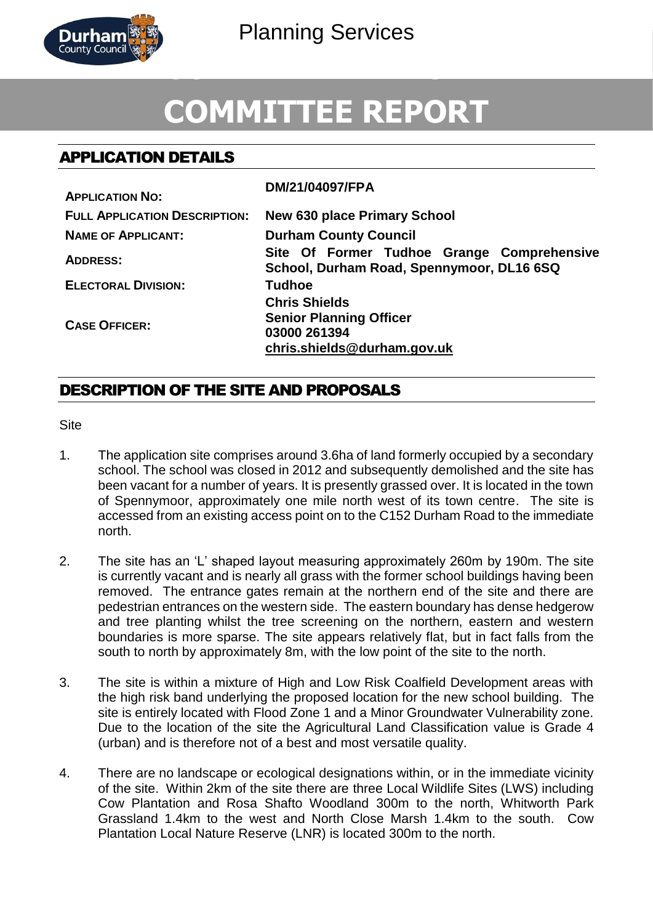

# **COMMITTEE REPORT**

# APPLICATION DETAILS

| <b>APPLICATION NO:</b>               | DM/21/04097/FPA                                                                                       |
|--------------------------------------|-------------------------------------------------------------------------------------------------------|
| <b>FULL APPLICATION DESCRIPTION:</b> | <b>New 630 place Primary School</b>                                                                   |
| <b>NAME OF APPLICANT:</b>            | <b>Durham County Council</b>                                                                          |
| <b>ADDRESS:</b>                      | Site Of Former Tudhoe Grange Comprehensive<br>School, Durham Road, Spennymoor, DL16 6SQ               |
| <b>ELECTORAL DIVISION:</b>           | <b>Tudhoe</b>                                                                                         |
| <b>CASE OFFICER:</b>                 | <b>Chris Shields</b><br><b>Senior Planning Officer</b><br>03000 261394<br>chris.shields@durham.gov.uk |

## DESCRIPTION OF THE SITE AND PROPOSALS

Site

- 1. The application site comprises around 3.6ha of land formerly occupied by a secondary school. The school was closed in 2012 and subsequently demolished and the site has been vacant for a number of years. It is presently grassed over. It is located in the town of Spennymoor, approximately one mile north west of its town centre. The site is accessed from an existing access point on to the C152 Durham Road to the immediate north.
- 2. The site has an 'L' shaped layout measuring approximately 260m by 190m. The site is currently vacant and is nearly all grass with the former school buildings having been removed. The entrance gates remain at the northern end of the site and there are pedestrian entrances on the western side. The eastern boundary has dense hedgerow and tree planting whilst the tree screening on the northern, eastern and western boundaries is more sparse. The site appears relatively flat, but in fact falls from the south to north by approximately 8m, with the low point of the site to the north.
- 3. The site is within a mixture of High and Low Risk Coalfield Development areas with the high risk band underlying the proposed location for the new school building. The site is entirely located with Flood Zone 1 and a Minor Groundwater Vulnerability zone. Due to the location of the site the Agricultural Land Classification value is Grade 4 (urban) and is therefore not of a best and most versatile quality.
- 4. There are no landscape or ecological designations within, or in the immediate vicinity of the site. Within 2km of the site there are three Local Wildlife Sites (LWS) including Cow Plantation and Rosa Shafto Woodland 300m to the north, Whitworth Park Grassland 1.4km to the west and North Close Marsh 1.4km to the south. Cow Plantation Local Nature Reserve (LNR) is located 300m to the north.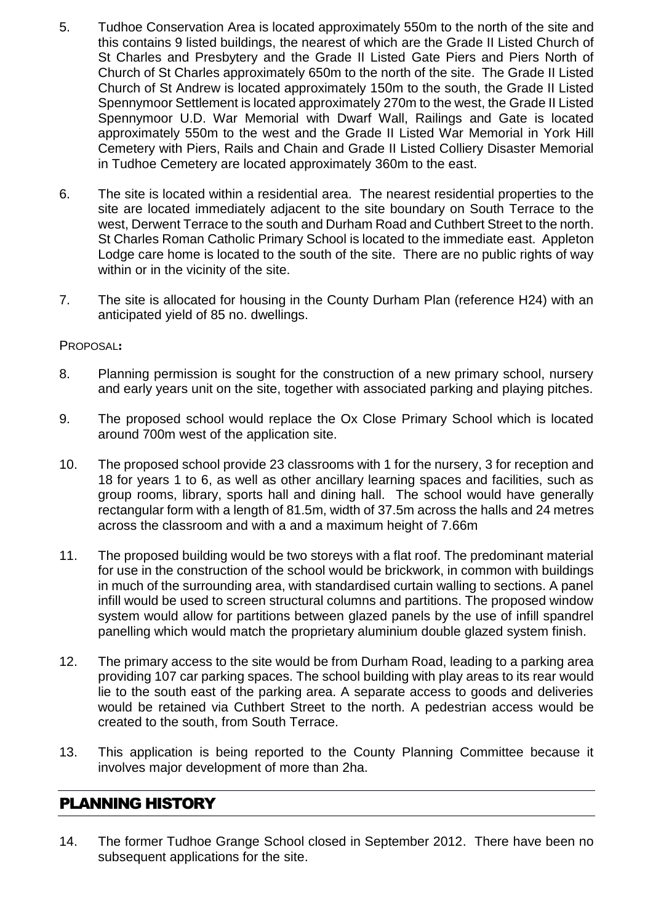- 5. Tudhoe Conservation Area is located approximately 550m to the north of the site and this contains 9 listed buildings, the nearest of which are the Grade II Listed Church of St Charles and Presbytery and the Grade II Listed Gate Piers and Piers North of Church of St Charles approximately 650m to the north of the site. The Grade II Listed Church of St Andrew is located approximately 150m to the south, the Grade II Listed Spennymoor Settlement is located approximately 270m to the west, the Grade II Listed Spennymoor U.D. War Memorial with Dwarf Wall, Railings and Gate is located approximately 550m to the west and the Grade II Listed War Memorial in York Hill Cemetery with Piers, Rails and Chain and Grade II Listed Colliery Disaster Memorial in Tudhoe Cemetery are located approximately 360m to the east.
- 6. The site is located within a residential area. The nearest residential properties to the site are located immediately adjacent to the site boundary on South Terrace to the west, Derwent Terrace to the south and Durham Road and Cuthbert Street to the north. St Charles Roman Catholic Primary School is located to the immediate east. Appleton Lodge care home is located to the south of the site. There are no public rights of way within or in the vicinity of the site.
- 7. The site is allocated for housing in the County Durham Plan (reference H24) with an anticipated yield of 85 no. dwellings.

#### PROPOSAL**:**

- 8. Planning permission is sought for the construction of a new primary school, nursery and early years unit on the site, together with associated parking and playing pitches.
- 9. The proposed school would replace the Ox Close Primary School which is located around 700m west of the application site.
- 10. The proposed school provide 23 classrooms with 1 for the nursery, 3 for reception and 18 for years 1 to 6, as well as other ancillary learning spaces and facilities, such as group rooms, library, sports hall and dining hall. The school would have generally rectangular form with a length of 81.5m, width of 37.5m across the halls and 24 metres across the classroom and with a and a maximum height of 7.66m
- 11. The proposed building would be two storeys with a flat roof. The predominant material for use in the construction of the school would be brickwork, in common with buildings in much of the surrounding area, with standardised curtain walling to sections. A panel infill would be used to screen structural columns and partitions. The proposed window system would allow for partitions between glazed panels by the use of infill spandrel panelling which would match the proprietary aluminium double glazed system finish.
- 12. The primary access to the site would be from Durham Road, leading to a parking area providing 107 car parking spaces. The school building with play areas to its rear would lie to the south east of the parking area. A separate access to goods and deliveries would be retained via Cuthbert Street to the north. A pedestrian access would be created to the south, from South Terrace.
- 13. This application is being reported to the County Planning Committee because it involves major development of more than 2ha.

## PLANNING HISTORY

14. The former Tudhoe Grange School closed in September 2012. There have been no subsequent applications for the site.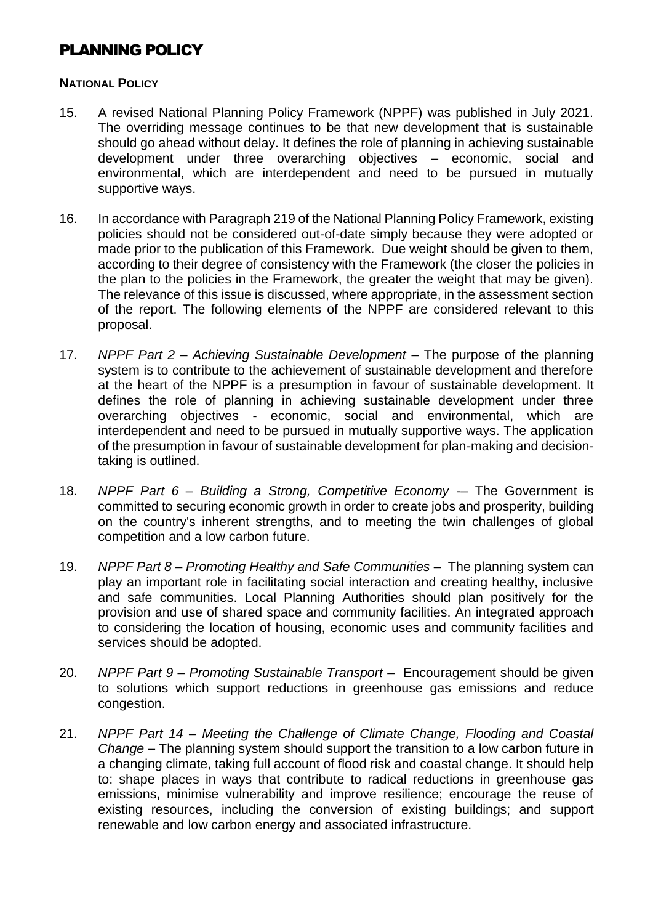# PLANNING POLICY

#### **NATIONAL POLICY**

- 15. A revised National Planning Policy Framework (NPPF) was published in July 2021. The overriding message continues to be that new development that is sustainable should go ahead without delay. It defines the role of planning in achieving sustainable development under three overarching objectives – economic, social and environmental, which are interdependent and need to be pursued in mutually supportive ways.
- 16. In accordance with Paragraph 219 of the National Planning Policy Framework, existing policies should not be considered out-of-date simply because they were adopted or made prior to the publication of this Framework. Due weight should be given to them, according to their degree of consistency with the Framework (the closer the policies in the plan to the policies in the Framework, the greater the weight that may be given). The relevance of this issue is discussed, where appropriate, in the assessment section of the report. The following elements of the NPPF are considered relevant to this proposal.
- 17. *NPPF Part 2 – Achieving Sustainable Development* The purpose of the planning system is to contribute to the achievement of sustainable development and therefore at the heart of the NPPF is a presumption in favour of sustainable development. It defines the role of planning in achieving sustainable development under three overarching objectives - economic, social and environmental, which are interdependent and need to be pursued in mutually supportive ways. The application of the presumption in favour of sustainable development for plan-making and decisiontaking is outlined.
- 18. *NPPF Part 6 – Building a Strong, Competitive Economy* -– The Government is committed to securing economic growth in order to create jobs and prosperity, building on the country's inherent strengths, and to meeting the twin challenges of global competition and a low carbon future.
- 19. *NPPF Part 8 – Promoting Healthy and Safe Communities* The planning system can play an important role in facilitating social interaction and creating healthy, inclusive and safe communities. Local Planning Authorities should plan positively for the provision and use of shared space and community facilities. An integrated approach to considering the location of housing, economic uses and community facilities and services should be adopted.
- 20. *NPPF Part 9 – Promoting Sustainable Transport* Encouragement should be given to solutions which support reductions in greenhouse gas emissions and reduce congestion.
- 21. *NPPF Part 14 – Meeting the Challenge of Climate Change, Flooding and Coastal Change* – The planning system should support the transition to a low carbon future in a changing climate, taking full account of flood risk and coastal change. It should help to: shape places in ways that contribute to radical reductions in greenhouse gas emissions, minimise vulnerability and improve resilience; encourage the reuse of existing resources, including the conversion of existing buildings; and support renewable and low carbon energy and associated infrastructure.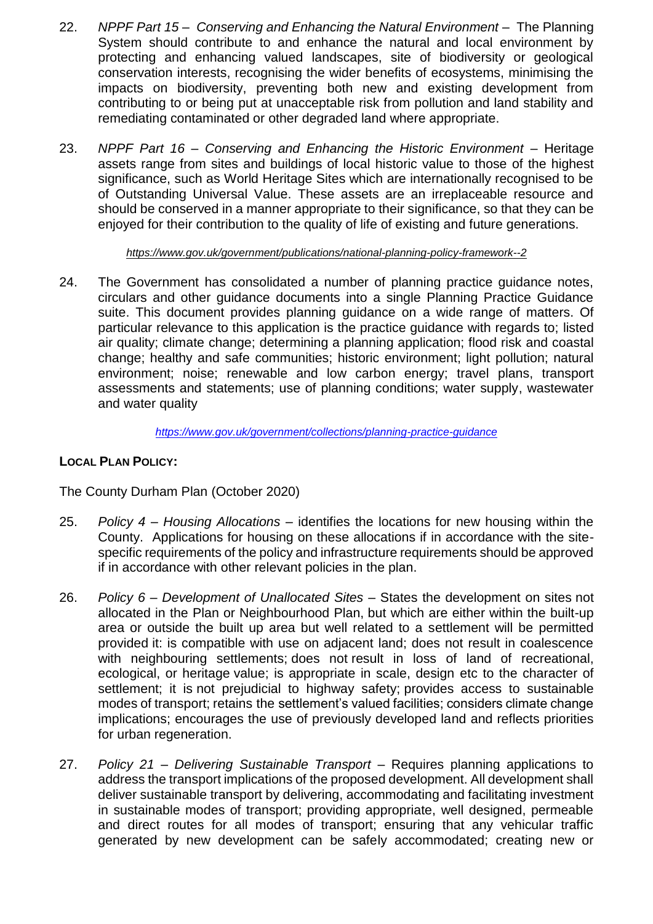- 22. *NPPF Part 15 Conserving and Enhancing the Natural Environment* The Planning System should contribute to and enhance the natural and local environment by protecting and enhancing valued landscapes, site of biodiversity or geological conservation interests, recognising the wider benefits of ecosystems, minimising the impacts on biodiversity, preventing both new and existing development from contributing to or being put at unacceptable risk from pollution and land stability and remediating contaminated or other degraded land where appropriate.
- 23. *NPPF Part 16 – Conserving and Enhancing the Historic Environment* Heritage assets range from sites and buildings of local historic value to those of the highest significance, such as World Heritage Sites which are internationally recognised to be of Outstanding Universal Value. These assets are an irreplaceable resource and should be conserved in a manner appropriate to their significance, so that they can be enjoyed for their contribution to the quality of life of existing and future generations.

*<https://www.gov.uk/government/publications/national-planning-policy-framework--2>*

24. The Government has consolidated a number of planning practice guidance notes, circulars and other guidance documents into a single Planning Practice Guidance suite. This document provides planning guidance on a wide range of matters. Of particular relevance to this application is the practice guidance with regards to; listed air quality; climate change; determining a planning application; flood risk and coastal change; healthy and safe communities; historic environment; light pollution; natural environment; noise; renewable and low carbon energy; travel plans, transport assessments and statements; use of planning conditions; water supply, wastewater and water quality

*<https://www.gov.uk/government/collections/planning-practice-guidance>*

### **LOCAL PLAN POLICY:**

The County Durham Plan (October 2020)

- 25. *Policy 4 – Housing Allocations* identifies the locations for new housing within the County. Applications for housing on these allocations if in accordance with the sitespecific requirements of the policy and infrastructure requirements should be approved if in accordance with other relevant policies in the plan.
- 26. *Policy 6 – Development of Unallocated Sites* States the development on sites not allocated in the Plan or Neighbourhood Plan, but which are either within the built-up area or outside the built up area but well related to a settlement will be permitted provided it: is compatible with use on adjacent land; does not result in coalescence with neighbouring settlements; does not result in loss of land of recreational, ecological, or heritage value; is appropriate in scale, design etc to the character of settlement; it is not prejudicial to highway safety; provides access to sustainable modes of transport; retains the settlement's valued facilities; considers climate change implications; encourages the use of previously developed land and reflects priorities for urban regeneration.
- 27. *Policy 21 – Delivering Sustainable Transport* Requires planning applications to address the transport implications of the proposed development. All development shall deliver sustainable transport by delivering, accommodating and facilitating investment in sustainable modes of transport; providing appropriate, well designed, permeable and direct routes for all modes of transport; ensuring that any vehicular traffic generated by new development can be safely accommodated; creating new or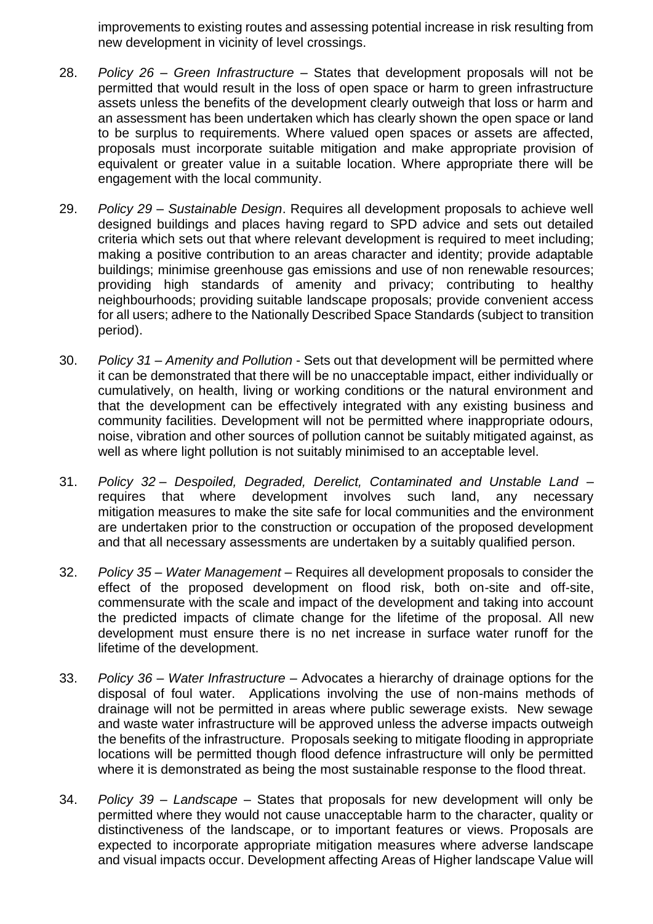improvements to existing routes and assessing potential increase in risk resulting from new development in vicinity of level crossings.

- 28. *Policy 26 – Green Infrastructure* States that development proposals will not be permitted that would result in the loss of open space or harm to green infrastructure assets unless the benefits of the development clearly outweigh that loss or harm and an assessment has been undertaken which has clearly shown the open space or land to be surplus to requirements. Where valued open spaces or assets are affected, proposals must incorporate suitable mitigation and make appropriate provision of equivalent or greater value in a suitable location. Where appropriate there will be engagement with the local community.
- 29. *Policy 29 – Sustainable Design*. Requires all development proposals to achieve well designed buildings and places having regard to SPD advice and sets out detailed criteria which sets out that where relevant development is required to meet including; making a positive contribution to an areas character and identity; provide adaptable buildings; minimise greenhouse gas emissions and use of non renewable resources; providing high standards of amenity and privacy; contributing to healthy neighbourhoods; providing suitable landscape proposals; provide convenient access for all users; adhere to the Nationally Described Space Standards (subject to transition period).
- 30. *Policy 31 – Amenity and Pollution* Sets out that development will be permitted where it can be demonstrated that there will be no unacceptable impact, either individually or cumulatively, on health, living or working conditions or the natural environment and that the development can be effectively integrated with any existing business and community facilities. Development will not be permitted where inappropriate odours, noise, vibration and other sources of pollution cannot be suitably mitigated against, as well as where light pollution is not suitably minimised to an acceptable level.
- 31. *Policy 32 – Despoiled, Degraded, Derelict, Contaminated and Unstable Land* requires that where development involves such land, any necessary mitigation measures to make the site safe for local communities and the environment are undertaken prior to the construction or occupation of the proposed development and that all necessary assessments are undertaken by a suitably qualified person.
- 32. *Policy 35 – Water Management* Requires all development proposals to consider the effect of the proposed development on flood risk, both on-site and off-site, commensurate with the scale and impact of the development and taking into account the predicted impacts of climate change for the lifetime of the proposal. All new development must ensure there is no net increase in surface water runoff for the lifetime of the development.
- 33. *Policy 36 – Water Infrastructure –* Advocates a hierarchy of drainage options for the disposal of foul water. Applications involving the use of non-mains methods of drainage will not be permitted in areas where public sewerage exists. New sewage and waste water infrastructure will be approved unless the adverse impacts outweigh the benefits of the infrastructure. Proposals seeking to mitigate flooding in appropriate locations will be permitted though flood defence infrastructure will only be permitted where it is demonstrated as being the most sustainable response to the flood threat.
- 34. *Policy 39 – Landscape* States that proposals for new development will only be permitted where they would not cause unacceptable harm to the character, quality or distinctiveness of the landscape, or to important features or views. Proposals are expected to incorporate appropriate mitigation measures where adverse landscape and visual impacts occur. Development affecting Areas of Higher landscape Value will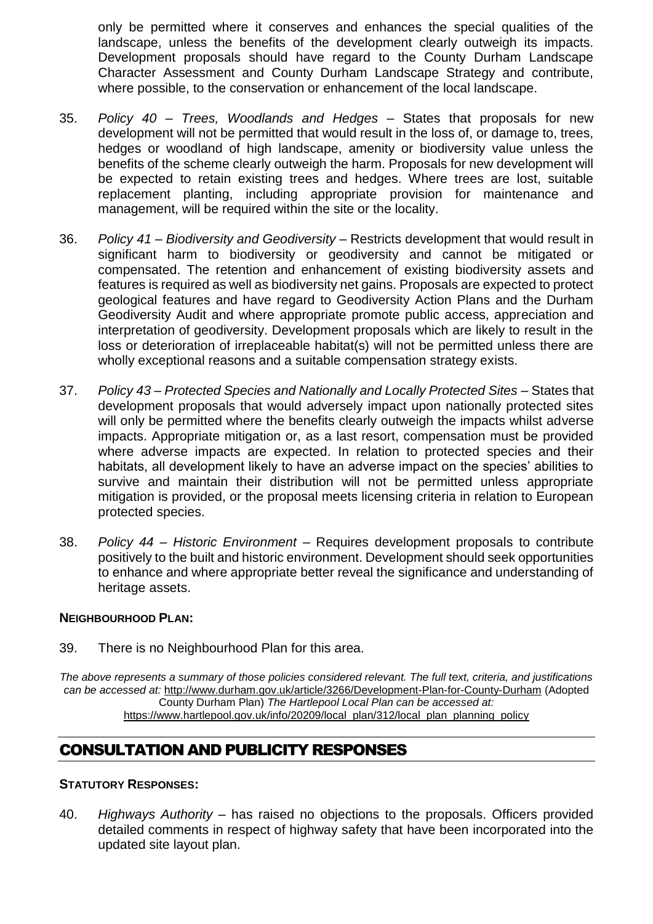only be permitted where it conserves and enhances the special qualities of the landscape, unless the benefits of the development clearly outweigh its impacts. Development proposals should have regard to the County Durham Landscape Character Assessment and County Durham Landscape Strategy and contribute, where possible, to the conservation or enhancement of the local landscape.

- 35. *Policy 40 – Trees, Woodlands and Hedges* States that proposals for new development will not be permitted that would result in the loss of, or damage to, trees, hedges or woodland of high landscape, amenity or biodiversity value unless the benefits of the scheme clearly outweigh the harm. Proposals for new development will be expected to retain existing trees and hedges. Where trees are lost, suitable replacement planting, including appropriate provision for maintenance and management, will be required within the site or the locality.
- 36. *Policy 41 – Biodiversity and Geodiversity* Restricts development that would result in significant harm to biodiversity or geodiversity and cannot be mitigated or compensated. The retention and enhancement of existing biodiversity assets and features is required as well as biodiversity net gains. Proposals are expected to protect geological features and have regard to Geodiversity Action Plans and the Durham Geodiversity Audit and where appropriate promote public access, appreciation and interpretation of geodiversity. Development proposals which are likely to result in the loss or deterioration of irreplaceable habitat(s) will not be permitted unless there are wholly exceptional reasons and a suitable compensation strategy exists.
- 37. *Policy 43 – Protected Species and Nationally and Locally Protected Sites*  States that development proposals that would adversely impact upon nationally protected sites will only be permitted where the benefits clearly outweigh the impacts whilst adverse impacts. Appropriate mitigation or, as a last resort, compensation must be provided where adverse impacts are expected. In relation to protected species and their habitats, all development likely to have an adverse impact on the species' abilities to survive and maintain their distribution will not be permitted unless appropriate mitigation is provided, or the proposal meets licensing criteria in relation to European protected species.
- 38. *Policy 44 – Historic Environment –* Requires development proposals to contribute positively to the built and historic environment. Development should seek opportunities to enhance and where appropriate better reveal the significance and understanding of heritage assets.

#### **NEIGHBOURHOOD PLAN:**

39. There is no Neighbourhood Plan for this area.

*The above represents a summary of those policies considered relevant. The full text, criteria, and justifications can be accessed at:* <http://www.durham.gov.uk/article/3266/Development-Plan-for-County-Durham> (Adopted County Durham Plan) *The Hartlepool Local Plan can be accessed at:* [https://www.hartlepool.gov.uk/info/20209/local\\_plan/312/local\\_plan\\_planning\\_policy](https://www.hartlepool.gov.uk/info/20209/local_plan/312/local_plan_planning_policy)

# CONSULTATION AND PUBLICITY RESPONSES

#### **STATUTORY RESPONSES:**

40. *Highways Authority* – has raised no objections to the proposals. Officers provided detailed comments in respect of highway safety that have been incorporated into the updated site layout plan.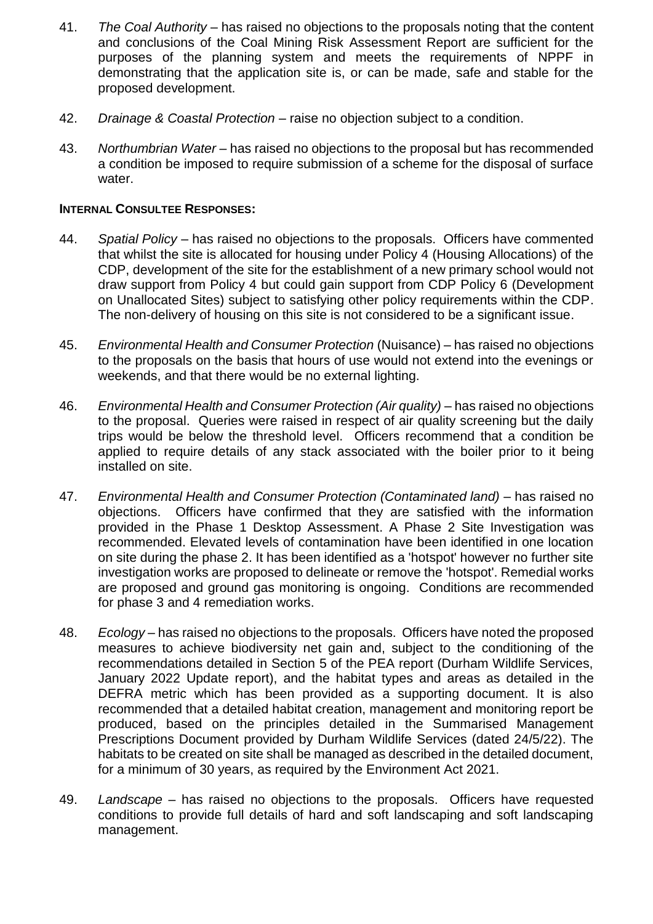- 41. *The Coal Authority* has raised no objections to the proposals noting that the content and conclusions of the Coal Mining Risk Assessment Report are sufficient for the purposes of the planning system and meets the requirements of NPPF in demonstrating that the application site is, or can be made, safe and stable for the proposed development.
- 42. *Drainage & Coastal Protection –* raise no objection subject to a condition.
- 43. *Northumbrian Water –* has raised no objections to the proposal but has recommended a condition be imposed to require submission of a scheme for the disposal of surface water.

#### **INTERNAL CONSULTEE RESPONSES:**

- 44. *Spatial Policy* has raised no objections to the proposals. Officers have commented that whilst the site is allocated for housing under Policy 4 (Housing Allocations) of the CDP, development of the site for the establishment of a new primary school would not draw support from Policy 4 but could gain support from CDP Policy 6 (Development on Unallocated Sites) subject to satisfying other policy requirements within the CDP. The non-delivery of housing on this site is not considered to be a significant issue.
- 45. *Environmental Health and Consumer Protection* (Nuisance) has raised no objections to the proposals on the basis that hours of use would not extend into the evenings or weekends, and that there would be no external lighting.
- 46. *Environmental Health and Consumer Protection (Air quality) –* has raised no objections to the proposal. Queries were raised in respect of air quality screening but the daily trips would be below the threshold level. Officers recommend that a condition be applied to require details of any stack associated with the boiler prior to it being installed on site.
- 47. *Environmental Health and Consumer Protection (Contaminated land)* has raised no objections. Officers have confirmed that they are satisfied with the information provided in the Phase 1 Desktop Assessment. A Phase 2 Site Investigation was recommended. Elevated levels of contamination have been identified in one location on site during the phase 2. It has been identified as a 'hotspot' however no further site investigation works are proposed to delineate or remove the 'hotspot'. Remedial works are proposed and ground gas monitoring is ongoing. Conditions are recommended for phase 3 and 4 remediation works.
- 48. *Ecology –* has raised no objections to the proposals. Officers have noted the proposed measures to achieve biodiversity net gain and, subject to the conditioning of the recommendations detailed in Section 5 of the PEA report (Durham Wildlife Services, January 2022 Update report), and the habitat types and areas as detailed in the DEFRA metric which has been provided as a supporting document. It is also recommended that a detailed habitat creation, management and monitoring report be produced, based on the principles detailed in the Summarised Management Prescriptions Document provided by Durham Wildlife Services (dated 24/5/22). The habitats to be created on site shall be managed as described in the detailed document, for a minimum of 30 years, as required by the Environment Act 2021.
- 49. *Landscape –* has raised no objections to the proposals. Officers have requested conditions to provide full details of hard and soft landscaping and soft landscaping management.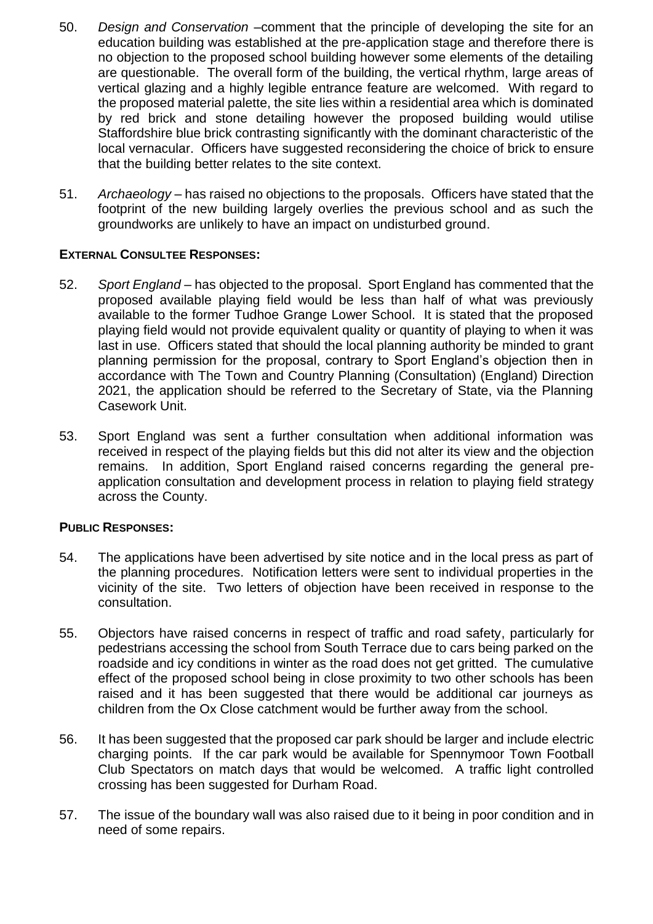- 50. *Design and Conservation –*comment that the principle of developing the site for an education building was established at the pre-application stage and therefore there is no objection to the proposed school building however some elements of the detailing are questionable. The overall form of the building, the vertical rhythm, large areas of vertical glazing and a highly legible entrance feature are welcomed. With regard to the proposed material palette, the site lies within a residential area which is dominated by red brick and stone detailing however the proposed building would utilise Staffordshire blue brick contrasting significantly with the dominant characteristic of the local vernacular. Officers have suggested reconsidering the choice of brick to ensure that the building better relates to the site context.
- 51. *Archaeology –* has raised no objections to the proposals. Officers have stated that the footprint of the new building largely overlies the previous school and as such the groundworks are unlikely to have an impact on undisturbed ground.

#### **EXTERNAL CONSULTEE RESPONSES:**

- 52. *Sport England –* has objected to the proposal. Sport England has commented that the proposed available playing field would be less than half of what was previously available to the former Tudhoe Grange Lower School. It is stated that the proposed playing field would not provide equivalent quality or quantity of playing to when it was last in use. Officers stated that should the local planning authority be minded to grant planning permission for the proposal, contrary to Sport England's objection then in accordance with The Town and Country Planning (Consultation) (England) Direction 2021, the application should be referred to the Secretary of State, via the Planning Casework Unit.
- 53. Sport England was sent a further consultation when additional information was received in respect of the playing fields but this did not alter its view and the objection remains. In addition, Sport England raised concerns regarding the general preapplication consultation and development process in relation to playing field strategy across the County.

#### **PUBLIC RESPONSES:**

- 54. The applications have been advertised by site notice and in the local press as part of the planning procedures. Notification letters were sent to individual properties in the vicinity of the site. Two letters of objection have been received in response to the consultation.
- 55. Objectors have raised concerns in respect of traffic and road safety, particularly for pedestrians accessing the school from South Terrace due to cars being parked on the roadside and icy conditions in winter as the road does not get gritted. The cumulative effect of the proposed school being in close proximity to two other schools has been raised and it has been suggested that there would be additional car journeys as children from the Ox Close catchment would be further away from the school.
- 56. It has been suggested that the proposed car park should be larger and include electric charging points. If the car park would be available for Spennymoor Town Football Club Spectators on match days that would be welcomed. A traffic light controlled crossing has been suggested for Durham Road.
- 57. The issue of the boundary wall was also raised due to it being in poor condition and in need of some repairs.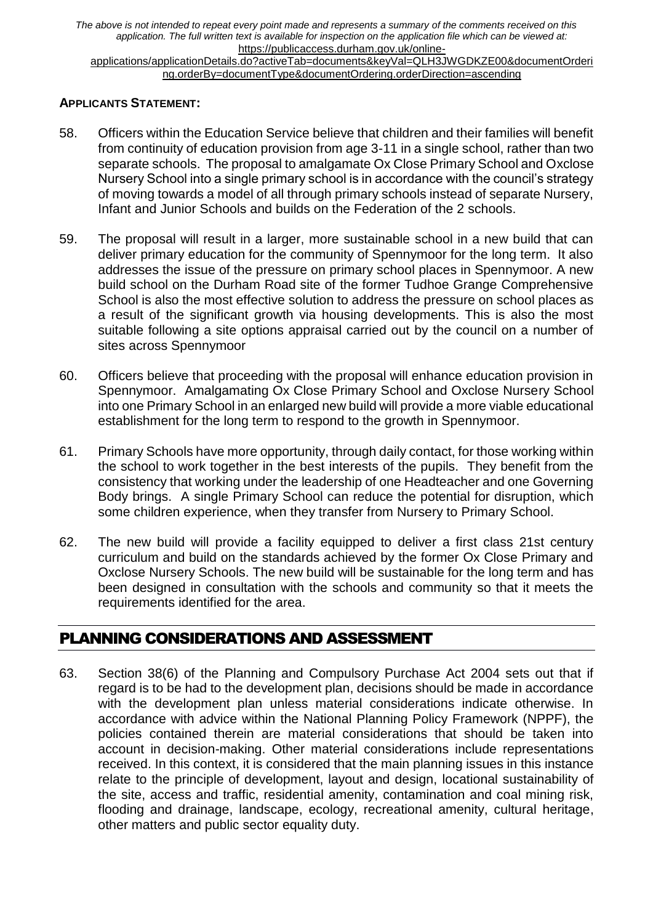*The above is not intended to repeat every point made and represents a summary of the comments received on this application. The full written text is available for inspection on the application file which can be viewed at:*  [https://publicaccess.durham.gov.uk/online-](https://publicaccess.durham.gov.uk/online-applications/applicationDetails.do?activeTab=documents&keyVal=QLH3JWGDKZE00&documentOrdering.orderBy=documentType&documentOrdering.orderDirection=ascending)

[applications/applicationDetails.do?activeTab=documents&keyVal=QLH3JWGDKZE00&documentOrderi](https://publicaccess.durham.gov.uk/online-applications/applicationDetails.do?activeTab=documents&keyVal=QLH3JWGDKZE00&documentOrdering.orderBy=documentType&documentOrdering.orderDirection=ascending) [ng.orderBy=documentType&documentOrdering.orderDirection=ascending](https://publicaccess.durham.gov.uk/online-applications/applicationDetails.do?activeTab=documents&keyVal=QLH3JWGDKZE00&documentOrdering.orderBy=documentType&documentOrdering.orderDirection=ascending)

#### **APPLICANTS STATEMENT:**

- 58. Officers within the Education Service believe that children and their families will benefit from continuity of education provision from age 3-11 in a single school, rather than two separate schools. The proposal to amalgamate Ox Close Primary School and Oxclose Nursery School into a single primary school is in accordance with the council's strategy of moving towards a model of all through primary schools instead of separate Nursery, Infant and Junior Schools and builds on the Federation of the 2 schools.
- 59. The proposal will result in a larger, more sustainable school in a new build that can deliver primary education for the community of Spennymoor for the long term. It also addresses the issue of the pressure on primary school places in Spennymoor. A new build school on the Durham Road site of the former Tudhoe Grange Comprehensive School is also the most effective solution to address the pressure on school places as a result of the significant growth via housing developments. This is also the most suitable following a site options appraisal carried out by the council on a number of sites across Spennymoor
- 60. Officers believe that proceeding with the proposal will enhance education provision in Spennymoor. Amalgamating Ox Close Primary School and Oxclose Nursery School into one Primary School in an enlarged new build will provide a more viable educational establishment for the long term to respond to the growth in Spennymoor.
- 61. Primary Schools have more opportunity, through daily contact, for those working within the school to work together in the best interests of the pupils. They benefit from the consistency that working under the leadership of one Headteacher and one Governing Body brings. A single Primary School can reduce the potential for disruption, which some children experience, when they transfer from Nursery to Primary School.
- 62. The new build will provide a facility equipped to deliver a first class 21st century curriculum and build on the standards achieved by the former Ox Close Primary and Oxclose Nursery Schools. The new build will be sustainable for the long term and has been designed in consultation with the schools and community so that it meets the requirements identified for the area.

# PLANNING CONSIDERATIONS AND ASSESSMENT

63. Section 38(6) of the Planning and Compulsory Purchase Act 2004 sets out that if regard is to be had to the development plan, decisions should be made in accordance with the development plan unless material considerations indicate otherwise. In accordance with advice within the National Planning Policy Framework (NPPF), the policies contained therein are material considerations that should be taken into account in decision-making. Other material considerations include representations received. In this context, it is considered that the main planning issues in this instance relate to the principle of development, layout and design, locational sustainability of the site, access and traffic, residential amenity, contamination and coal mining risk, flooding and drainage, landscape, ecology, recreational amenity, cultural heritage, other matters and public sector equality duty.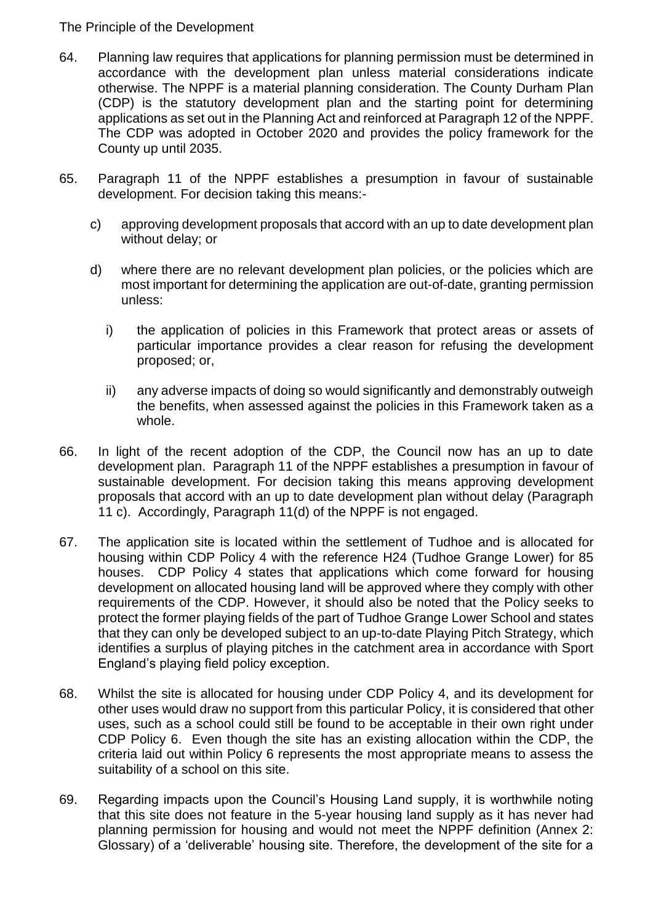#### The Principle of the Development

- 64. Planning law requires that applications for planning permission must be determined in accordance with the development plan unless material considerations indicate otherwise. The NPPF is a material planning consideration. The County Durham Plan (CDP) is the statutory development plan and the starting point for determining applications as set out in the Planning Act and reinforced at Paragraph 12 of the NPPF. The CDP was adopted in October 2020 and provides the policy framework for the County up until 2035.
- 65. Paragraph 11 of the NPPF establishes a presumption in favour of sustainable development. For decision taking this means:
	- c) approving development proposals that accord with an up to date development plan without delay; or
	- d) where there are no relevant development plan policies, or the policies which are most important for determining the application are out-of-date, granting permission unless:
		- i) the application of policies in this Framework that protect areas or assets of particular importance provides a clear reason for refusing the development proposed; or,
		- ii) any adverse impacts of doing so would significantly and demonstrably outweigh the benefits, when assessed against the policies in this Framework taken as a whole.
- 66. In light of the recent adoption of the CDP, the Council now has an up to date development plan. Paragraph 11 of the NPPF establishes a presumption in favour of sustainable development. For decision taking this means approving development proposals that accord with an up to date development plan without delay (Paragraph 11 c). Accordingly, Paragraph 11(d) of the NPPF is not engaged.
- 67. The application site is located within the settlement of Tudhoe and is allocated for housing within CDP Policy 4 with the reference H24 (Tudhoe Grange Lower) for 85 houses. CDP Policy 4 states that applications which come forward for housing development on allocated housing land will be approved where they comply with other requirements of the CDP. However, it should also be noted that the Policy seeks to protect the former playing fields of the part of Tudhoe Grange Lower School and states that they can only be developed subject to an up-to-date Playing Pitch Strategy, which identifies a surplus of playing pitches in the catchment area in accordance with Sport England's playing field policy exception.
- 68. Whilst the site is allocated for housing under CDP Policy 4, and its development for other uses would draw no support from this particular Policy, it is considered that other uses, such as a school could still be found to be acceptable in their own right under CDP Policy 6. Even though the site has an existing allocation within the CDP, the criteria laid out within Policy 6 represents the most appropriate means to assess the suitability of a school on this site.
- 69. Regarding impacts upon the Council's Housing Land supply, it is worthwhile noting that this site does not feature in the 5-year housing land supply as it has never had planning permission for housing and would not meet the NPPF definition (Annex 2: Glossary) of a 'deliverable' housing site. Therefore, the development of the site for a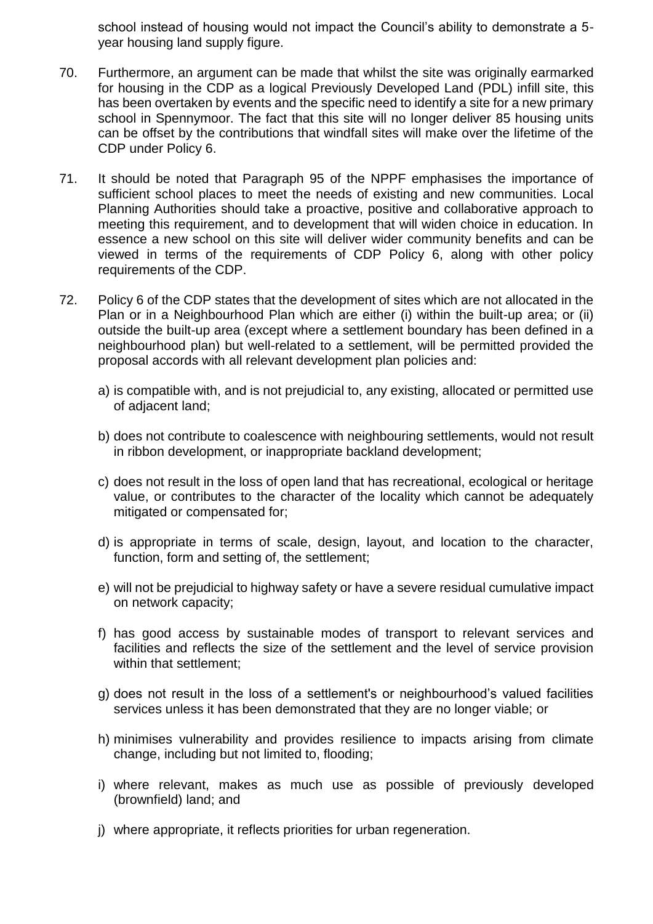school instead of housing would not impact the Council's ability to demonstrate a 5 year housing land supply figure.

- 70. Furthermore, an argument can be made that whilst the site was originally earmarked for housing in the CDP as a logical Previously Developed Land (PDL) infill site, this has been overtaken by events and the specific need to identify a site for a new primary school in Spennymoor. The fact that this site will no longer deliver 85 housing units can be offset by the contributions that windfall sites will make over the lifetime of the CDP under Policy 6.
- 71. It should be noted that Paragraph 95 of the NPPF emphasises the importance of sufficient school places to meet the needs of existing and new communities. Local Planning Authorities should take a proactive, positive and collaborative approach to meeting this requirement, and to development that will widen choice in education. In essence a new school on this site will deliver wider community benefits and can be viewed in terms of the requirements of CDP Policy 6, along with other policy requirements of the CDP.
- 72. Policy 6 of the CDP states that the development of sites which are not allocated in the Plan or in a Neighbourhood Plan which are either (i) within the built-up area; or (ii) outside the built-up area (except where a settlement boundary has been defined in a neighbourhood plan) but well-related to a settlement, will be permitted provided the proposal accords with all relevant development plan policies and:
	- a) is compatible with, and is not prejudicial to, any existing, allocated or permitted use of adjacent land;
	- b) does not contribute to coalescence with neighbouring settlements, would not result in ribbon development, or inappropriate backland development;
	- c) does not result in the loss of open land that has recreational, ecological or heritage value, or contributes to the character of the locality which cannot be adequately mitigated or compensated for;
	- d) is appropriate in terms of scale, design, layout, and location to the character, function, form and setting of, the settlement;
	- e) will not be prejudicial to highway safety or have a severe residual cumulative impact on network capacity;
	- f) has good access by sustainable modes of transport to relevant services and facilities and reflects the size of the settlement and the level of service provision within that settlement;
	- g) does not result in the loss of a settlement's or neighbourhood's valued facilities services unless it has been demonstrated that they are no longer viable; or
	- h) minimises vulnerability and provides resilience to impacts arising from climate change, including but not limited to, flooding;
	- i) where relevant, makes as much use as possible of previously developed (brownfield) land; and
	- j) where appropriate, it reflects priorities for urban regeneration.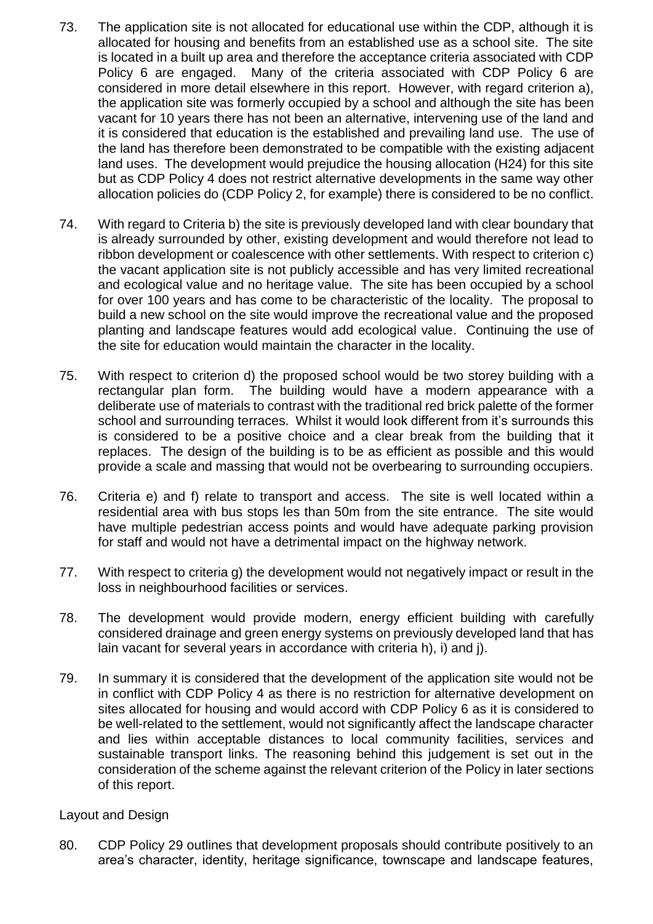- 73. The application site is not allocated for educational use within the CDP, although it is allocated for housing and benefits from an established use as a school site. The site is located in a built up area and therefore the acceptance criteria associated with CDP Policy 6 are engaged. Many of the criteria associated with CDP Policy 6 are considered in more detail elsewhere in this report. However, with regard criterion a), the application site was formerly occupied by a school and although the site has been vacant for 10 years there has not been an alternative, intervening use of the land and it is considered that education is the established and prevailing land use. The use of the land has therefore been demonstrated to be compatible with the existing adjacent land uses. The development would prejudice the housing allocation (H24) for this site but as CDP Policy 4 does not restrict alternative developments in the same way other allocation policies do (CDP Policy 2, for example) there is considered to be no conflict.
- 74. With regard to Criteria b) the site is previously developed land with clear boundary that is already surrounded by other, existing development and would therefore not lead to ribbon development or coalescence with other settlements. With respect to criterion c) the vacant application site is not publicly accessible and has very limited recreational and ecological value and no heritage value. The site has been occupied by a school for over 100 years and has come to be characteristic of the locality. The proposal to build a new school on the site would improve the recreational value and the proposed planting and landscape features would add ecological value. Continuing the use of the site for education would maintain the character in the locality.
- 75. With respect to criterion d) the proposed school would be two storey building with a rectangular plan form. The building would have a modern appearance with a deliberate use of materials to contrast with the traditional red brick palette of the former school and surrounding terraces. Whilst it would look different from it's surrounds this is considered to be a positive choice and a clear break from the building that it replaces. The design of the building is to be as efficient as possible and this would provide a scale and massing that would not be overbearing to surrounding occupiers.
- 76. Criteria e) and f) relate to transport and access. The site is well located within a residential area with bus stops les than 50m from the site entrance. The site would have multiple pedestrian access points and would have adequate parking provision for staff and would not have a detrimental impact on the highway network.
- 77. With respect to criteria g) the development would not negatively impact or result in the loss in neighbourhood facilities or services.
- 78. The development would provide modern, energy efficient building with carefully considered drainage and green energy systems on previously developed land that has lain vacant for several years in accordance with criteria h), i) and j).
- 79. In summary it is considered that the development of the application site would not be in conflict with CDP Policy 4 as there is no restriction for alternative development on sites allocated for housing and would accord with CDP Policy 6 as it is considered to be well-related to the settlement, would not significantly affect the landscape character and lies within acceptable distances to local community facilities, services and sustainable transport links. The reasoning behind this judgement is set out in the consideration of the scheme against the relevant criterion of the Policy in later sections of this report.

#### Layout and Design

80. CDP Policy 29 outlines that development proposals should contribute positively to an area's character, identity, heritage significance, townscape and landscape features,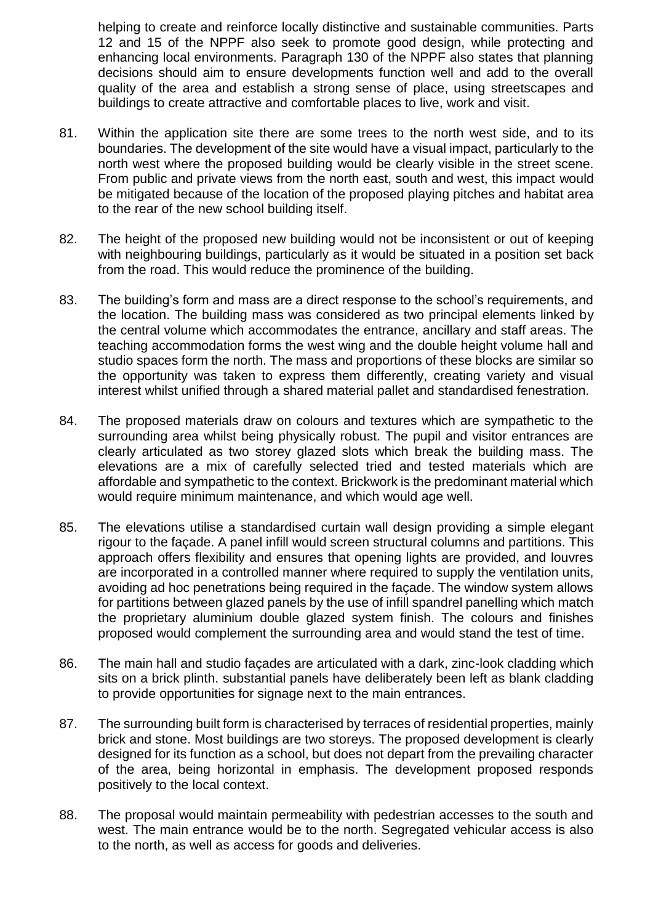helping to create and reinforce locally distinctive and sustainable communities. Parts 12 and 15 of the NPPF also seek to promote good design, while protecting and enhancing local environments. Paragraph 130 of the NPPF also states that planning decisions should aim to ensure developments function well and add to the overall quality of the area and establish a strong sense of place, using streetscapes and buildings to create attractive and comfortable places to live, work and visit.

- 81. Within the application site there are some trees to the north west side, and to its boundaries. The development of the site would have a visual impact, particularly to the north west where the proposed building would be clearly visible in the street scene. From public and private views from the north east, south and west, this impact would be mitigated because of the location of the proposed playing pitches and habitat area to the rear of the new school building itself.
- 82. The height of the proposed new building would not be inconsistent or out of keeping with neighbouring buildings, particularly as it would be situated in a position set back from the road. This would reduce the prominence of the building.
- 83. The building's form and mass are a direct response to the school's requirements, and the location. The building mass was considered as two principal elements linked by the central volume which accommodates the entrance, ancillary and staff areas. The teaching accommodation forms the west wing and the double height volume hall and studio spaces form the north. The mass and proportions of these blocks are similar so the opportunity was taken to express them differently, creating variety and visual interest whilst unified through a shared material pallet and standardised fenestration.
- 84. The proposed materials draw on colours and textures which are sympathetic to the surrounding area whilst being physically robust. The pupil and visitor entrances are clearly articulated as two storey glazed slots which break the building mass. The elevations are a mix of carefully selected tried and tested materials which are affordable and sympathetic to the context. Brickwork is the predominant material which would require minimum maintenance, and which would age well.
- 85. The elevations utilise a standardised curtain wall design providing a simple elegant rigour to the façade. A panel infill would screen structural columns and partitions. This approach offers flexibility and ensures that opening lights are provided, and louvres are incorporated in a controlled manner where required to supply the ventilation units, avoiding ad hoc penetrations being required in the façade. The window system allows for partitions between glazed panels by the use of infill spandrel panelling which match the proprietary aluminium double glazed system finish. The colours and finishes proposed would complement the surrounding area and would stand the test of time.
- 86. The main hall and studio façades are articulated with a dark, zinc-look cladding which sits on a brick plinth. substantial panels have deliberately been left as blank cladding to provide opportunities for signage next to the main entrances.
- 87. The surrounding built form is characterised by terraces of residential properties, mainly brick and stone. Most buildings are two storeys. The proposed development is clearly designed for its function as a school, but does not depart from the prevailing character of the area, being horizontal in emphasis. The development proposed responds positively to the local context.
- 88. The proposal would maintain permeability with pedestrian accesses to the south and west. The main entrance would be to the north. Segregated vehicular access is also to the north, as well as access for goods and deliveries.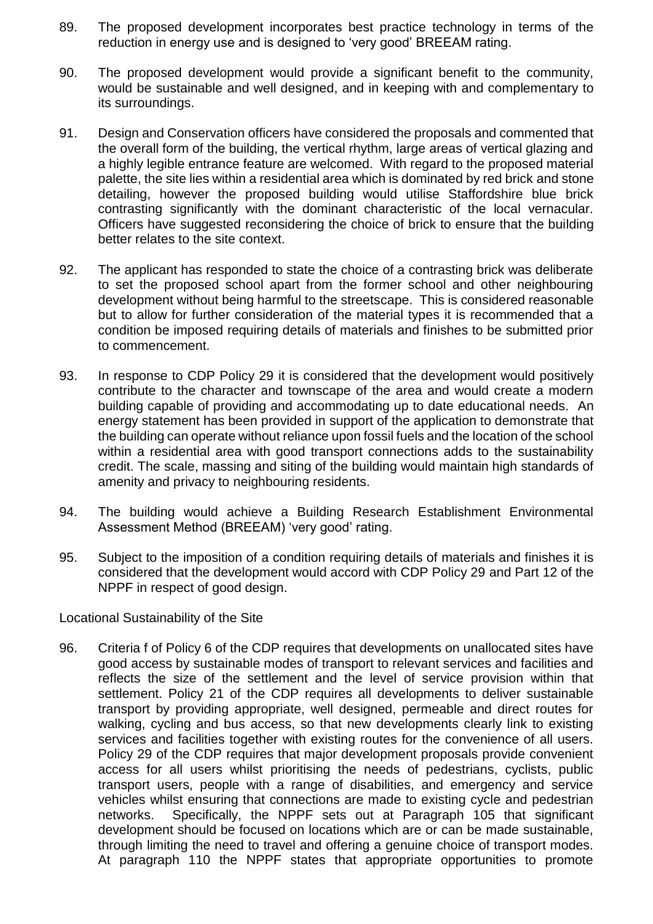- 89. The proposed development incorporates best practice technology in terms of the reduction in energy use and is designed to 'very good' BREEAM rating.
- 90. The proposed development would provide a significant benefit to the community, would be sustainable and well designed, and in keeping with and complementary to its surroundings.
- 91. Design and Conservation officers have considered the proposals and commented that the overall form of the building, the vertical rhythm, large areas of vertical glazing and a highly legible entrance feature are welcomed. With regard to the proposed material palette, the site lies within a residential area which is dominated by red brick and stone detailing, however the proposed building would utilise Staffordshire blue brick contrasting significantly with the dominant characteristic of the local vernacular. Officers have suggested reconsidering the choice of brick to ensure that the building better relates to the site context.
- 92. The applicant has responded to state the choice of a contrasting brick was deliberate to set the proposed school apart from the former school and other neighbouring development without being harmful to the streetscape. This is considered reasonable but to allow for further consideration of the material types it is recommended that a condition be imposed requiring details of materials and finishes to be submitted prior to commencement.
- 93. In response to CDP Policy 29 it is considered that the development would positively contribute to the character and townscape of the area and would create a modern building capable of providing and accommodating up to date educational needs. An energy statement has been provided in support of the application to demonstrate that the building can operate without reliance upon fossil fuels and the location of the school within a residential area with good transport connections adds to the sustainability credit. The scale, massing and siting of the building would maintain high standards of amenity and privacy to neighbouring residents.
- 94. The building would achieve a Building Research Establishment Environmental Assessment Method (BREEAM) 'very good' rating.
- 95. Subject to the imposition of a condition requiring details of materials and finishes it is considered that the development would accord with CDP Policy 29 and Part 12 of the NPPF in respect of good design.

Locational Sustainability of the Site

96. Criteria f of Policy 6 of the CDP requires that developments on unallocated sites have good access by sustainable modes of transport to relevant services and facilities and reflects the size of the settlement and the level of service provision within that settlement. Policy 21 of the CDP requires all developments to deliver sustainable transport by providing appropriate, well designed, permeable and direct routes for walking, cycling and bus access, so that new developments clearly link to existing services and facilities together with existing routes for the convenience of all users. Policy 29 of the CDP requires that major development proposals provide convenient access for all users whilst prioritising the needs of pedestrians, cyclists, public transport users, people with a range of disabilities, and emergency and service vehicles whilst ensuring that connections are made to existing cycle and pedestrian networks. Specifically, the NPPF sets out at Paragraph 105 that significant development should be focused on locations which are or can be made sustainable, through limiting the need to travel and offering a genuine choice of transport modes. At paragraph 110 the NPPF states that appropriate opportunities to promote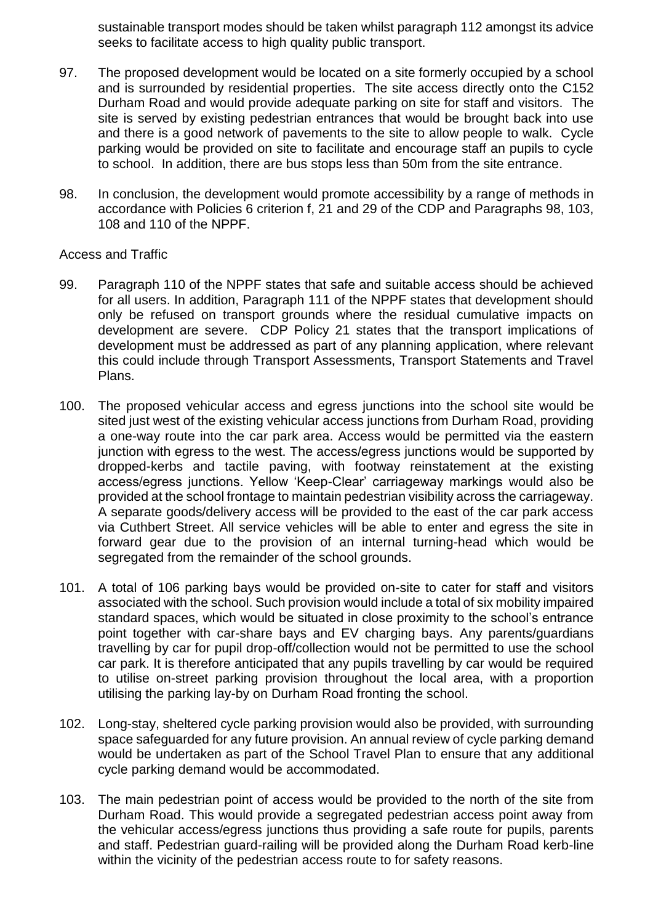sustainable transport modes should be taken whilst paragraph 112 amongst its advice seeks to facilitate access to high quality public transport.

- 97. The proposed development would be located on a site formerly occupied by a school and is surrounded by residential properties. The site access directly onto the C152 Durham Road and would provide adequate parking on site for staff and visitors. The site is served by existing pedestrian entrances that would be brought back into use and there is a good network of pavements to the site to allow people to walk. Cycle parking would be provided on site to facilitate and encourage staff an pupils to cycle to school. In addition, there are bus stops less than 50m from the site entrance.
- 98. In conclusion, the development would promote accessibility by a range of methods in accordance with Policies 6 criterion f, 21 and 29 of the CDP and Paragraphs 98, 103, 108 and 110 of the NPPF.

Access and Traffic

- 99. Paragraph 110 of the NPPF states that safe and suitable access should be achieved for all users. In addition, Paragraph 111 of the NPPF states that development should only be refused on transport grounds where the residual cumulative impacts on development are severe. CDP Policy 21 states that the transport implications of development must be addressed as part of any planning application, where relevant this could include through Transport Assessments, Transport Statements and Travel Plans.
- 100. The proposed vehicular access and egress junctions into the school site would be sited just west of the existing vehicular access junctions from Durham Road, providing a one-way route into the car park area. Access would be permitted via the eastern junction with egress to the west. The access/egress junctions would be supported by dropped-kerbs and tactile paving, with footway reinstatement at the existing access/egress junctions. Yellow 'Keep-Clear' carriageway markings would also be provided at the school frontage to maintain pedestrian visibility across the carriageway. A separate goods/delivery access will be provided to the east of the car park access via Cuthbert Street. All service vehicles will be able to enter and egress the site in forward gear due to the provision of an internal turning-head which would be segregated from the remainder of the school grounds.
- 101. A total of 106 parking bays would be provided on-site to cater for staff and visitors associated with the school. Such provision would include a total of six mobility impaired standard spaces, which would be situated in close proximity to the school's entrance point together with car-share bays and EV charging bays. Any parents/guardians travelling by car for pupil drop-off/collection would not be permitted to use the school car park. It is therefore anticipated that any pupils travelling by car would be required to utilise on-street parking provision throughout the local area, with a proportion utilising the parking lay-by on Durham Road fronting the school.
- 102. Long-stay, sheltered cycle parking provision would also be provided, with surrounding space safeguarded for any future provision. An annual review of cycle parking demand would be undertaken as part of the School Travel Plan to ensure that any additional cycle parking demand would be accommodated.
- 103. The main pedestrian point of access would be provided to the north of the site from Durham Road. This would provide a segregated pedestrian access point away from the vehicular access/egress junctions thus providing a safe route for pupils, parents and staff. Pedestrian guard-railing will be provided along the Durham Road kerb-line within the vicinity of the pedestrian access route to for safety reasons.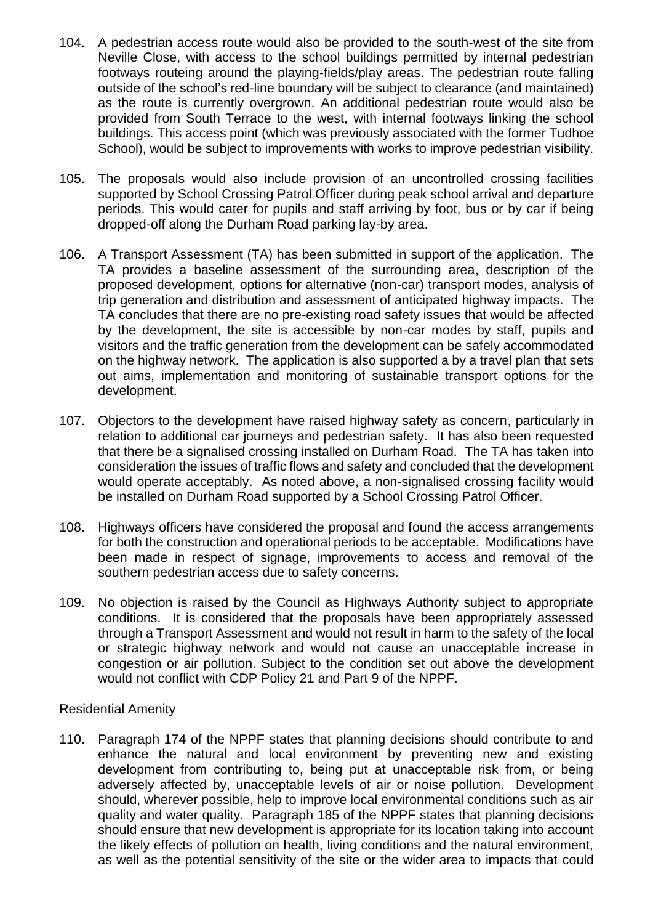- 104. A pedestrian access route would also be provided to the south-west of the site from Neville Close, with access to the school buildings permitted by internal pedestrian footways routeing around the playing-fields/play areas. The pedestrian route falling outside of the school's red-line boundary will be subject to clearance (and maintained) as the route is currently overgrown. An additional pedestrian route would also be provided from South Terrace to the west, with internal footways linking the school buildings. This access point (which was previously associated with the former Tudhoe School), would be subject to improvements with works to improve pedestrian visibility.
- 105. The proposals would also include provision of an uncontrolled crossing facilities supported by School Crossing Patrol Officer during peak school arrival and departure periods. This would cater for pupils and staff arriving by foot, bus or by car if being dropped-off along the Durham Road parking lay-by area.
- 106. A Transport Assessment (TA) has been submitted in support of the application. The TA provides a baseline assessment of the surrounding area, description of the proposed development, options for alternative (non-car) transport modes, analysis of trip generation and distribution and assessment of anticipated highway impacts. The TA concludes that there are no pre-existing road safety issues that would be affected by the development, the site is accessible by non-car modes by staff, pupils and visitors and the traffic generation from the development can be safely accommodated on the highway network. The application is also supported a by a travel plan that sets out aims, implementation and monitoring of sustainable transport options for the development.
- 107. Objectors to the development have raised highway safety as concern, particularly in relation to additional car journeys and pedestrian safety. It has also been requested that there be a signalised crossing installed on Durham Road. The TA has taken into consideration the issues of traffic flows and safety and concluded that the development would operate acceptably. As noted above, a non-signalised crossing facility would be installed on Durham Road supported by a School Crossing Patrol Officer.
- 108. Highways officers have considered the proposal and found the access arrangements for both the construction and operational periods to be acceptable. Modifications have been made in respect of signage, improvements to access and removal of the southern pedestrian access due to safety concerns.
- 109. No objection is raised by the Council as Highways Authority subject to appropriate conditions. It is considered that the proposals have been appropriately assessed through a Transport Assessment and would not result in harm to the safety of the local or strategic highway network and would not cause an unacceptable increase in congestion or air pollution. Subject to the condition set out above the development would not conflict with CDP Policy 21 and Part 9 of the NPPF.

#### Residential Amenity

110. Paragraph 174 of the NPPF states that planning decisions should contribute to and enhance the natural and local environment by preventing new and existing development from contributing to, being put at unacceptable risk from, or being adversely affected by, unacceptable levels of air or noise pollution. Development should, wherever possible, help to improve local environmental conditions such as air quality and water quality. Paragraph 185 of the NPPF states that planning decisions should ensure that new development is appropriate for its location taking into account the likely effects of pollution on health, living conditions and the natural environment, as well as the potential sensitivity of the site or the wider area to impacts that could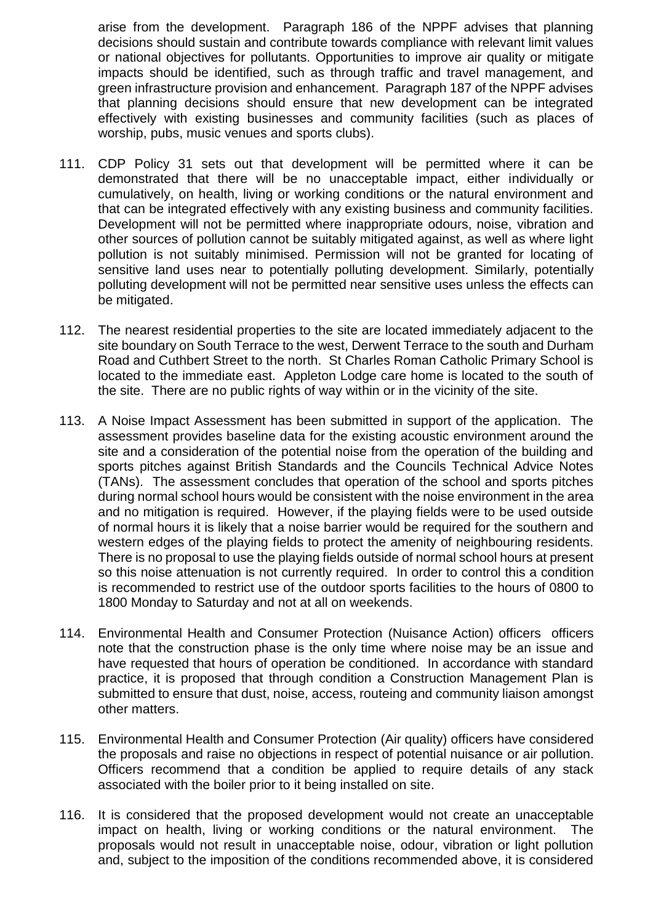arise from the development. Paragraph 186 of the NPPF advises that planning decisions should sustain and contribute towards compliance with relevant limit values or national objectives for pollutants. Opportunities to improve air quality or mitigate impacts should be identified, such as through traffic and travel management, and green infrastructure provision and enhancement. Paragraph 187 of the NPPF advises that planning decisions should ensure that new development can be integrated effectively with existing businesses and community facilities (such as places of worship, pubs, music venues and sports clubs).

- 111. CDP Policy 31 sets out that development will be permitted where it can be demonstrated that there will be no unacceptable impact, either individually or cumulatively, on health, living or working conditions or the natural environment and that can be integrated effectively with any existing business and community facilities. Development will not be permitted where inappropriate odours, noise, vibration and other sources of pollution cannot be suitably mitigated against, as well as where light pollution is not suitably minimised. Permission will not be granted for locating of sensitive land uses near to potentially polluting development. Similarly, potentially polluting development will not be permitted near sensitive uses unless the effects can be mitigated.
- 112. The nearest residential properties to the site are located immediately adjacent to the site boundary on South Terrace to the west, Derwent Terrace to the south and Durham Road and Cuthbert Street to the north. St Charles Roman Catholic Primary School is located to the immediate east. Appleton Lodge care home is located to the south of the site. There are no public rights of way within or in the vicinity of the site.
- 113. A Noise Impact Assessment has been submitted in support of the application. The assessment provides baseline data for the existing acoustic environment around the site and a consideration of the potential noise from the operation of the building and sports pitches against British Standards and the Councils Technical Advice Notes (TANs). The assessment concludes that operation of the school and sports pitches during normal school hours would be consistent with the noise environment in the area and no mitigation is required. However, if the playing fields were to be used outside of normal hours it is likely that a noise barrier would be required for the southern and western edges of the playing fields to protect the amenity of neighbouring residents. There is no proposal to use the playing fields outside of normal school hours at present so this noise attenuation is not currently required. In order to control this a condition is recommended to restrict use of the outdoor sports facilities to the hours of 0800 to 1800 Monday to Saturday and not at all on weekends.
- 114. Environmental Health and Consumer Protection (Nuisance Action) officers officers note that the construction phase is the only time where noise may be an issue and have requested that hours of operation be conditioned. In accordance with standard practice, it is proposed that through condition a Construction Management Plan is submitted to ensure that dust, noise, access, routeing and community liaison amongst other matters.
- 115. Environmental Health and Consumer Protection (Air quality) officers have considered the proposals and raise no objections in respect of potential nuisance or air pollution. Officers recommend that a condition be applied to require details of any stack associated with the boiler prior to it being installed on site.
- 116. It is considered that the proposed development would not create an unacceptable impact on health, living or working conditions or the natural environment. The proposals would not result in unacceptable noise, odour, vibration or light pollution and, subject to the imposition of the conditions recommended above, it is considered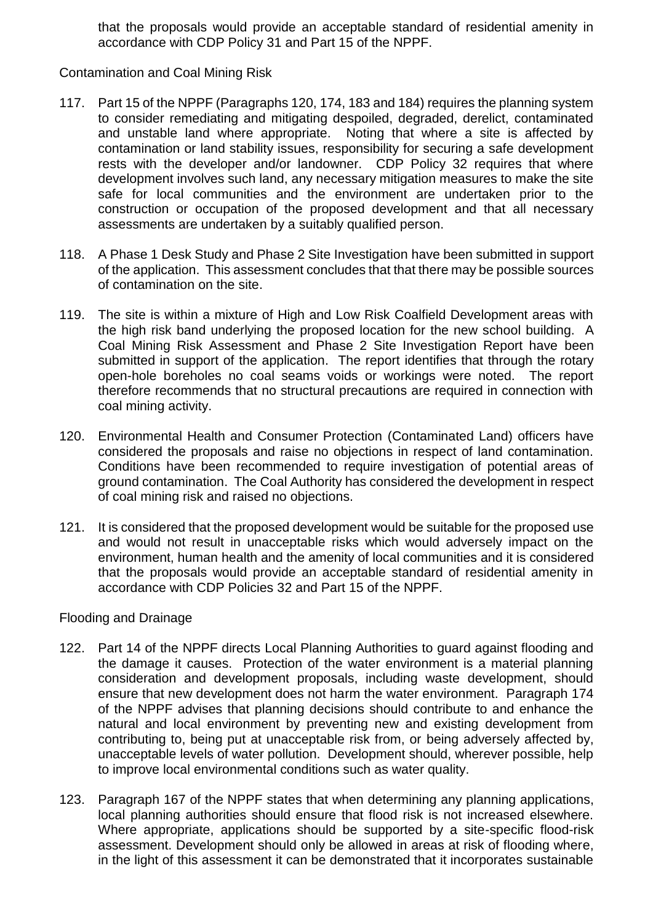that the proposals would provide an acceptable standard of residential amenity in accordance with CDP Policy 31 and Part 15 of the NPPF.

Contamination and Coal Mining Risk

- 117. Part 15 of the NPPF (Paragraphs 120, 174, 183 and 184) requires the planning system to consider remediating and mitigating despoiled, degraded, derelict, contaminated and unstable land where appropriate. Noting that where a site is affected by contamination or land stability issues, responsibility for securing a safe development rests with the developer and/or landowner. CDP Policy 32 requires that where development involves such land, any necessary mitigation measures to make the site safe for local communities and the environment are undertaken prior to the construction or occupation of the proposed development and that all necessary assessments are undertaken by a suitably qualified person.
- 118. A Phase 1 Desk Study and Phase 2 Site Investigation have been submitted in support of the application. This assessment concludes that that there may be possible sources of contamination on the site.
- 119. The site is within a mixture of High and Low Risk Coalfield Development areas with the high risk band underlying the proposed location for the new school building. A Coal Mining Risk Assessment and Phase 2 Site Investigation Report have been submitted in support of the application. The report identifies that through the rotary open-hole boreholes no coal seams voids or workings were noted. The report therefore recommends that no structural precautions are required in connection with coal mining activity.
- 120. Environmental Health and Consumer Protection (Contaminated Land) officers have considered the proposals and raise no objections in respect of land contamination. Conditions have been recommended to require investigation of potential areas of ground contamination. The Coal Authority has considered the development in respect of coal mining risk and raised no objections.
- 121. It is considered that the proposed development would be suitable for the proposed use and would not result in unacceptable risks which would adversely impact on the environment, human health and the amenity of local communities and it is considered that the proposals would provide an acceptable standard of residential amenity in accordance with CDP Policies 32 and Part 15 of the NPPF.

#### Flooding and Drainage

- 122. Part 14 of the NPPF directs Local Planning Authorities to guard against flooding and the damage it causes. Protection of the water environment is a material planning consideration and development proposals, including waste development, should ensure that new development does not harm the water environment. Paragraph 174 of the NPPF advises that planning decisions should contribute to and enhance the natural and local environment by preventing new and existing development from contributing to, being put at unacceptable risk from, or being adversely affected by, unacceptable levels of water pollution. Development should, wherever possible, help to improve local environmental conditions such as water quality.
- 123. Paragraph 167 of the NPPF states that when determining any planning applications, local planning authorities should ensure that flood risk is not increased elsewhere. Where appropriate, applications should be supported by a site-specific flood-risk assessment. Development should only be allowed in areas at risk of flooding where, in the light of this assessment it can be demonstrated that it incorporates sustainable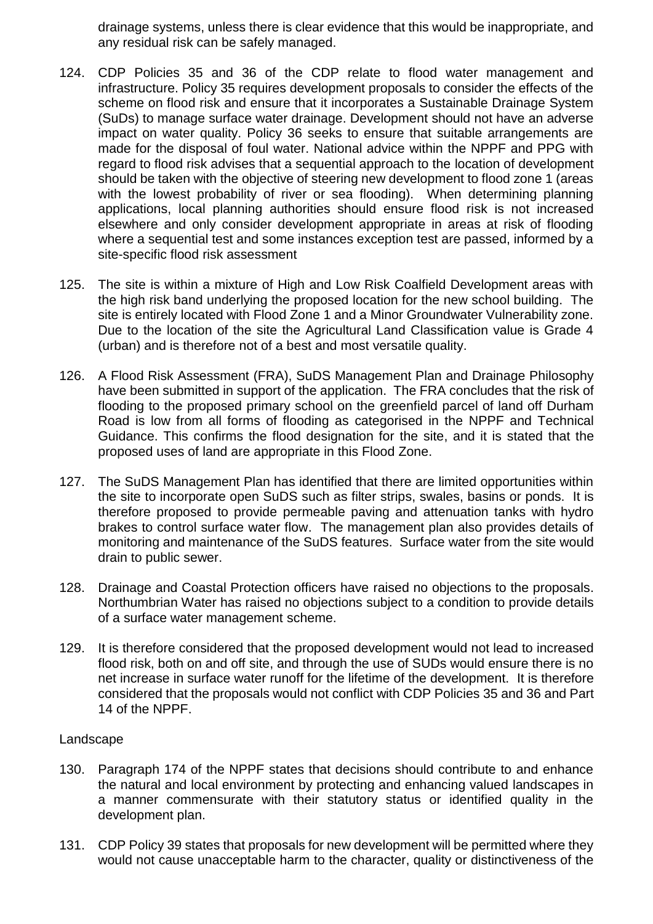drainage systems, unless there is clear evidence that this would be inappropriate, and any residual risk can be safely managed.

- 124. CDP Policies 35 and 36 of the CDP relate to flood water management and infrastructure. Policy 35 requires development proposals to consider the effects of the scheme on flood risk and ensure that it incorporates a Sustainable Drainage System (SuDs) to manage surface water drainage. Development should not have an adverse impact on water quality. Policy 36 seeks to ensure that suitable arrangements are made for the disposal of foul water. National advice within the NPPF and PPG with regard to flood risk advises that a sequential approach to the location of development should be taken with the objective of steering new development to flood zone 1 (areas with the lowest probability of river or sea flooding). When determining planning applications, local planning authorities should ensure flood risk is not increased elsewhere and only consider development appropriate in areas at risk of flooding where a sequential test and some instances exception test are passed, informed by a site-specific flood risk assessment
- 125. The site is within a mixture of High and Low Risk Coalfield Development areas with the high risk band underlying the proposed location for the new school building. The site is entirely located with Flood Zone 1 and a Minor Groundwater Vulnerability zone. Due to the location of the site the Agricultural Land Classification value is Grade 4 (urban) and is therefore not of a best and most versatile quality.
- 126. A Flood Risk Assessment (FRA), SuDS Management Plan and Drainage Philosophy have been submitted in support of the application. The FRA concludes that the risk of flooding to the proposed primary school on the greenfield parcel of land off Durham Road is low from all forms of flooding as categorised in the NPPF and Technical Guidance. This confirms the flood designation for the site, and it is stated that the proposed uses of land are appropriate in this Flood Zone.
- 127. The SuDS Management Plan has identified that there are limited opportunities within the site to incorporate open SuDS such as filter strips, swales, basins or ponds. It is therefore proposed to provide permeable paving and attenuation tanks with hydro brakes to control surface water flow. The management plan also provides details of monitoring and maintenance of the SuDS features. Surface water from the site would drain to public sewer.
- 128. Drainage and Coastal Protection officers have raised no objections to the proposals. Northumbrian Water has raised no objections subject to a condition to provide details of a surface water management scheme.
- 129. It is therefore considered that the proposed development would not lead to increased flood risk, both on and off site, and through the use of SUDs would ensure there is no net increase in surface water runoff for the lifetime of the development. It is therefore considered that the proposals would not conflict with CDP Policies 35 and 36 and Part 14 of the NPPF.

#### Landscape

- 130. Paragraph 174 of the NPPF states that decisions should contribute to and enhance the natural and local environment by protecting and enhancing valued landscapes in a manner commensurate with their statutory status or identified quality in the development plan.
- 131. CDP Policy 39 states that proposals for new development will be permitted where they would not cause unacceptable harm to the character, quality or distinctiveness of the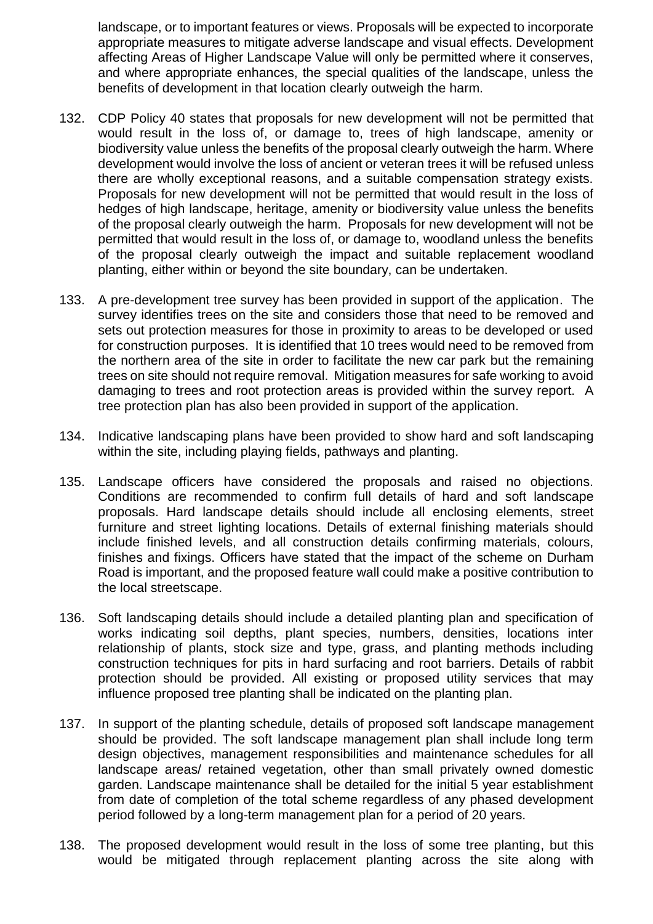landscape, or to important features or views. Proposals will be expected to incorporate appropriate measures to mitigate adverse landscape and visual effects. Development affecting Areas of Higher Landscape Value will only be permitted where it conserves, and where appropriate enhances, the special qualities of the landscape, unless the benefits of development in that location clearly outweigh the harm.

- 132. CDP Policy 40 states that proposals for new development will not be permitted that would result in the loss of, or damage to, trees of high landscape, amenity or biodiversity value unless the benefits of the proposal clearly outweigh the harm. Where development would involve the loss of ancient or veteran trees it will be refused unless there are wholly exceptional reasons, and a suitable compensation strategy exists. Proposals for new development will not be permitted that would result in the loss of hedges of high landscape, heritage, amenity or biodiversity value unless the benefits of the proposal clearly outweigh the harm. Proposals for new development will not be permitted that would result in the loss of, or damage to, woodland unless the benefits of the proposal clearly outweigh the impact and suitable replacement woodland planting, either within or beyond the site boundary, can be undertaken.
- 133. A pre-development tree survey has been provided in support of the application. The survey identifies trees on the site and considers those that need to be removed and sets out protection measures for those in proximity to areas to be developed or used for construction purposes. It is identified that 10 trees would need to be removed from the northern area of the site in order to facilitate the new car park but the remaining trees on site should not require removal. Mitigation measures for safe working to avoid damaging to trees and root protection areas is provided within the survey report. A tree protection plan has also been provided in support of the application.
- 134. Indicative landscaping plans have been provided to show hard and soft landscaping within the site, including playing fields, pathways and planting.
- 135. Landscape officers have considered the proposals and raised no objections. Conditions are recommended to confirm full details of hard and soft landscape proposals. Hard landscape details should include all enclosing elements, street furniture and street lighting locations. Details of external finishing materials should include finished levels, and all construction details confirming materials, colours, finishes and fixings. Officers have stated that the impact of the scheme on Durham Road is important, and the proposed feature wall could make a positive contribution to the local streetscape.
- 136. Soft landscaping details should include a detailed planting plan and specification of works indicating soil depths, plant species, numbers, densities, locations inter relationship of plants, stock size and type, grass, and planting methods including construction techniques for pits in hard surfacing and root barriers. Details of rabbit protection should be provided. All existing or proposed utility services that may influence proposed tree planting shall be indicated on the planting plan.
- 137. In support of the planting schedule, details of proposed soft landscape management should be provided. The soft landscape management plan shall include long term design objectives, management responsibilities and maintenance schedules for all landscape areas/ retained vegetation, other than small privately owned domestic garden. Landscape maintenance shall be detailed for the initial 5 year establishment from date of completion of the total scheme regardless of any phased development period followed by a long-term management plan for a period of 20 years.
- 138. The proposed development would result in the loss of some tree planting, but this would be mitigated through replacement planting across the site along with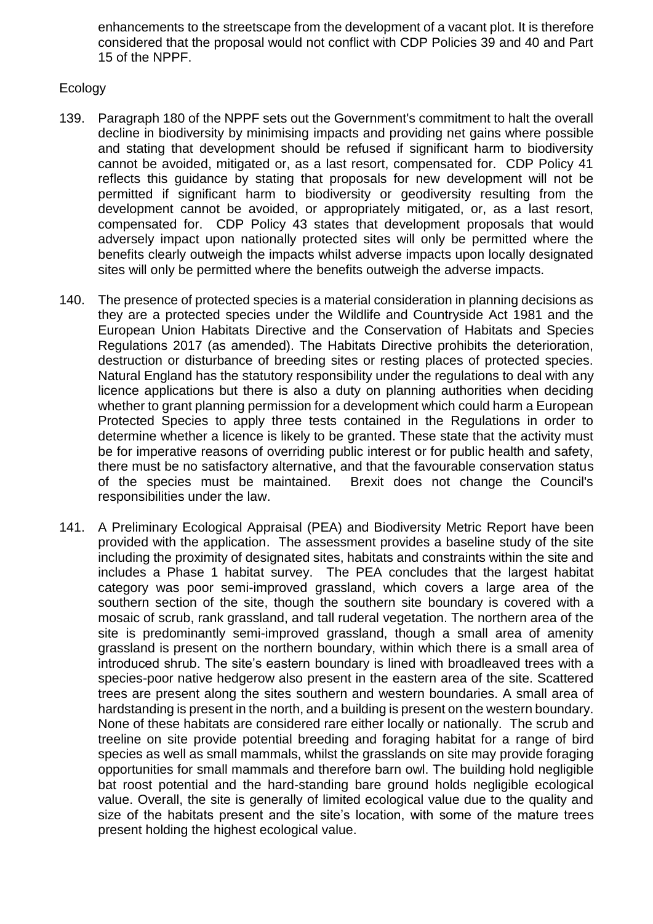enhancements to the streetscape from the development of a vacant plot. It is therefore considered that the proposal would not conflict with CDP Policies 39 and 40 and Part 15 of the NPPF.

#### Ecology

- 139. Paragraph 180 of the NPPF sets out the Government's commitment to halt the overall decline in biodiversity by minimising impacts and providing net gains where possible and stating that development should be refused if significant harm to biodiversity cannot be avoided, mitigated or, as a last resort, compensated for. CDP Policy 41 reflects this guidance by stating that proposals for new development will not be permitted if significant harm to biodiversity or geodiversity resulting from the development cannot be avoided, or appropriately mitigated, or, as a last resort, compensated for. CDP Policy 43 states that development proposals that would adversely impact upon nationally protected sites will only be permitted where the benefits clearly outweigh the impacts whilst adverse impacts upon locally designated sites will only be permitted where the benefits outweigh the adverse impacts.
- 140. The presence of protected species is a material consideration in planning decisions as they are a protected species under the Wildlife and Countryside Act 1981 and the European Union Habitats Directive and the Conservation of Habitats and Species Regulations 2017 (as amended). The Habitats Directive prohibits the deterioration, destruction or disturbance of breeding sites or resting places of protected species. Natural England has the statutory responsibility under the regulations to deal with any licence applications but there is also a duty on planning authorities when deciding whether to grant planning permission for a development which could harm a European Protected Species to apply three tests contained in the Regulations in order to determine whether a licence is likely to be granted. These state that the activity must be for imperative reasons of overriding public interest or for public health and safety, there must be no satisfactory alternative, and that the favourable conservation status of the species must be maintained. Brexit does not change the Council's responsibilities under the law.
- 141. A Preliminary Ecological Appraisal (PEA) and Biodiversity Metric Report have been provided with the application. The assessment provides a baseline study of the site including the proximity of designated sites, habitats and constraints within the site and includes a Phase 1 habitat survey. The PEA concludes that the largest habitat category was poor semi-improved grassland, which covers a large area of the southern section of the site, though the southern site boundary is covered with a mosaic of scrub, rank grassland, and tall ruderal vegetation. The northern area of the site is predominantly semi-improved grassland, though a small area of amenity grassland is present on the northern boundary, within which there is a small area of introduced shrub. The site's eastern boundary is lined with broadleaved trees with a species-poor native hedgerow also present in the eastern area of the site. Scattered trees are present along the sites southern and western boundaries. A small area of hardstanding is present in the north, and a building is present on the western boundary. None of these habitats are considered rare either locally or nationally. The scrub and treeline on site provide potential breeding and foraging habitat for a range of bird species as well as small mammals, whilst the grasslands on site may provide foraging opportunities for small mammals and therefore barn owl. The building hold negligible bat roost potential and the hard-standing bare ground holds negligible ecological value. Overall, the site is generally of limited ecological value due to the quality and size of the habitats present and the site's location, with some of the mature trees present holding the highest ecological value.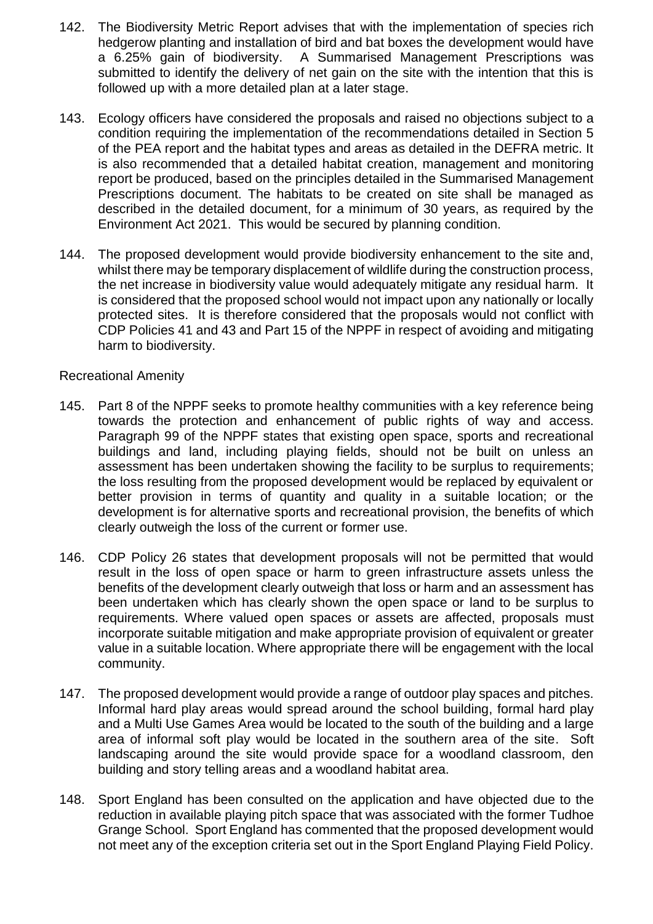- 142. The Biodiversity Metric Report advises that with the implementation of species rich hedgerow planting and installation of bird and bat boxes the development would have a 6.25% gain of biodiversity. A Summarised Management Prescriptions was submitted to identify the delivery of net gain on the site with the intention that this is followed up with a more detailed plan at a later stage.
- 143. Ecology officers have considered the proposals and raised no objections subject to a condition requiring the implementation of the recommendations detailed in Section 5 of the PEA report and the habitat types and areas as detailed in the DEFRA metric. It is also recommended that a detailed habitat creation, management and monitoring report be produced, based on the principles detailed in the Summarised Management Prescriptions document. The habitats to be created on site shall be managed as described in the detailed document, for a minimum of 30 years, as required by the Environment Act 2021. This would be secured by planning condition.
- 144. The proposed development would provide biodiversity enhancement to the site and, whilst there may be temporary displacement of wildlife during the construction process, the net increase in biodiversity value would adequately mitigate any residual harm. It is considered that the proposed school would not impact upon any nationally or locally protected sites. It is therefore considered that the proposals would not conflict with CDP Policies 41 and 43 and Part 15 of the NPPF in respect of avoiding and mitigating harm to biodiversity.

#### Recreational Amenity

- 145. Part 8 of the NPPF seeks to promote healthy communities with a key reference being towards the protection and enhancement of public rights of way and access. Paragraph 99 of the NPPF states that existing open space, sports and recreational buildings and land, including playing fields, should not be built on unless an assessment has been undertaken showing the facility to be surplus to requirements; the loss resulting from the proposed development would be replaced by equivalent or better provision in terms of quantity and quality in a suitable location; or the development is for alternative sports and recreational provision, the benefits of which clearly outweigh the loss of the current or former use.
- 146. CDP Policy 26 states that development proposals will not be permitted that would result in the loss of open space or harm to green infrastructure assets unless the benefits of the development clearly outweigh that loss or harm and an assessment has been undertaken which has clearly shown the open space or land to be surplus to requirements. Where valued open spaces or assets are affected, proposals must incorporate suitable mitigation and make appropriate provision of equivalent or greater value in a suitable location. Where appropriate there will be engagement with the local community.
- 147. The proposed development would provide a range of outdoor play spaces and pitches. Informal hard play areas would spread around the school building, formal hard play and a Multi Use Games Area would be located to the south of the building and a large area of informal soft play would be located in the southern area of the site. Soft landscaping around the site would provide space for a woodland classroom, den building and story telling areas and a woodland habitat area.
- 148. Sport England has been consulted on the application and have objected due to the reduction in available playing pitch space that was associated with the former Tudhoe Grange School. Sport England has commented that the proposed development would not meet any of the exception criteria set out in the Sport England Playing Field Policy.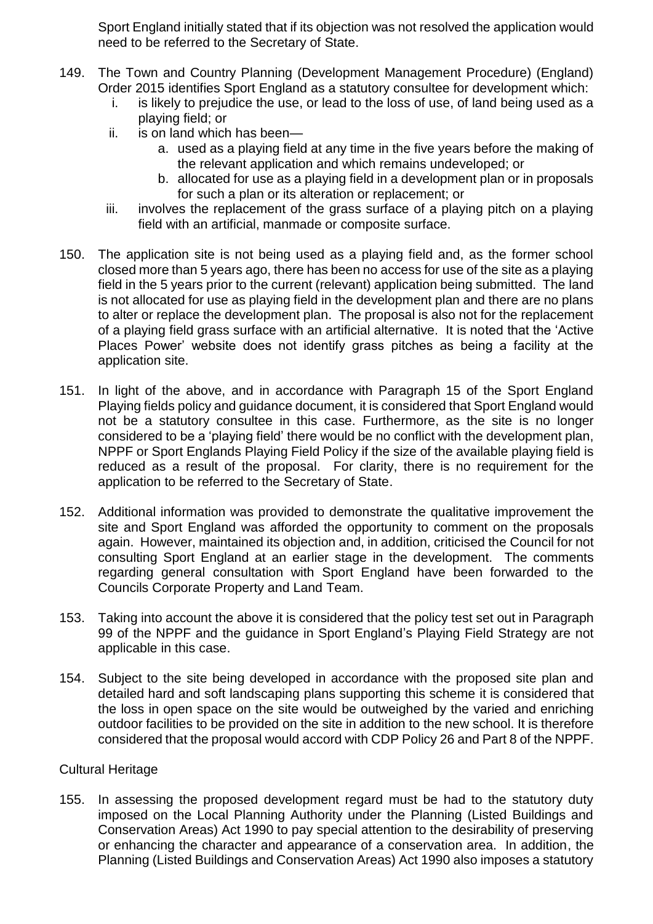Sport England initially stated that if its objection was not resolved the application would need to be referred to the Secretary of State.

- 149. The Town and Country Planning (Development Management Procedure) (England) Order 2015 identifies Sport England as a statutory consultee for development which:
	- i. is likely to prejudice the use, or lead to the loss of use, of land being used as a playing field; or
	- ii. is on land which has been
		- a. used as a playing field at any time in the five years before the making of the relevant application and which remains undeveloped; or
		- b. allocated for use as a playing field in a development plan or in proposals for such a plan or its alteration or replacement; or
	- iii. involves the replacement of the grass surface of a playing pitch on a playing field with an artificial, manmade or composite surface.
- 150. The application site is not being used as a playing field and, as the former school closed more than 5 years ago, there has been no access for use of the site as a playing field in the 5 years prior to the current (relevant) application being submitted. The land is not allocated for use as playing field in the development plan and there are no plans to alter or replace the development plan. The proposal is also not for the replacement of a playing field grass surface with an artificial alternative. It is noted that the 'Active Places Power' website does not identify grass pitches as being a facility at the application site.
- 151. In light of the above, and in accordance with Paragraph 15 of the Sport England Playing fields policy and guidance document, it is considered that Sport England would not be a statutory consultee in this case. Furthermore, as the site is no longer considered to be a 'playing field' there would be no conflict with the development plan, NPPF or Sport Englands Playing Field Policy if the size of the available playing field is reduced as a result of the proposal. For clarity, there is no requirement for the application to be referred to the Secretary of State.
- 152. Additional information was provided to demonstrate the qualitative improvement the site and Sport England was afforded the opportunity to comment on the proposals again. However, maintained its objection and, in addition, criticised the Council for not consulting Sport England at an earlier stage in the development. The comments regarding general consultation with Sport England have been forwarded to the Councils Corporate Property and Land Team.
- 153. Taking into account the above it is considered that the policy test set out in Paragraph 99 of the NPPF and the guidance in Sport England's Playing Field Strategy are not applicable in this case.
- 154. Subject to the site being developed in accordance with the proposed site plan and detailed hard and soft landscaping plans supporting this scheme it is considered that the loss in open space on the site would be outweighed by the varied and enriching outdoor facilities to be provided on the site in addition to the new school. It is therefore considered that the proposal would accord with CDP Policy 26 and Part 8 of the NPPF.

#### Cultural Heritage

155. In assessing the proposed development regard must be had to the statutory duty imposed on the Local Planning Authority under the Planning (Listed Buildings and Conservation Areas) Act 1990 to pay special attention to the desirability of preserving or enhancing the character and appearance of a conservation area. In addition, the Planning (Listed Buildings and Conservation Areas) Act 1990 also imposes a statutory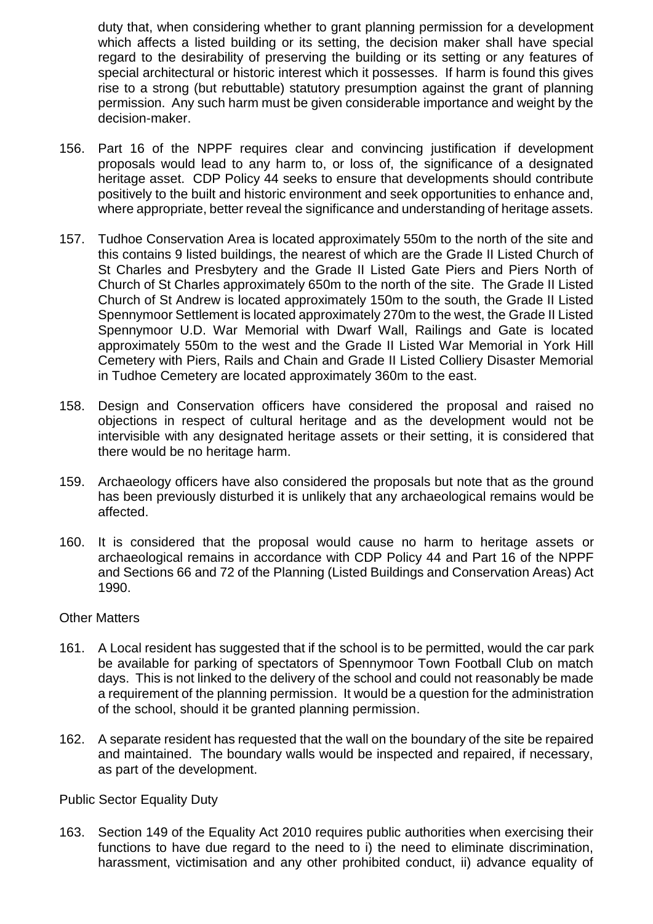duty that, when considering whether to grant planning permission for a development which affects a listed building or its setting, the decision maker shall have special regard to the desirability of preserving the building or its setting or any features of special architectural or historic interest which it possesses. If harm is found this gives rise to a strong (but rebuttable) statutory presumption against the grant of planning permission. Any such harm must be given considerable importance and weight by the decision-maker.

- 156. Part 16 of the NPPF requires clear and convincing justification if development proposals would lead to any harm to, or loss of, the significance of a designated heritage asset. CDP Policy 44 seeks to ensure that developments should contribute positively to the built and historic environment and seek opportunities to enhance and, where appropriate, better reveal the significance and understanding of heritage assets.
- 157. Tudhoe Conservation Area is located approximately 550m to the north of the site and this contains 9 listed buildings, the nearest of which are the Grade II Listed Church of St Charles and Presbytery and the Grade II Listed Gate Piers and Piers North of Church of St Charles approximately 650m to the north of the site. The Grade II Listed Church of St Andrew is located approximately 150m to the south, the Grade II Listed Spennymoor Settlement is located approximately 270m to the west, the Grade II Listed Spennymoor U.D. War Memorial with Dwarf Wall, Railings and Gate is located approximately 550m to the west and the Grade II Listed War Memorial in York Hill Cemetery with Piers, Rails and Chain and Grade II Listed Colliery Disaster Memorial in Tudhoe Cemetery are located approximately 360m to the east.
- 158. Design and Conservation officers have considered the proposal and raised no objections in respect of cultural heritage and as the development would not be intervisible with any designated heritage assets or their setting, it is considered that there would be no heritage harm.
- 159. Archaeology officers have also considered the proposals but note that as the ground has been previously disturbed it is unlikely that any archaeological remains would be affected.
- 160. It is considered that the proposal would cause no harm to heritage assets or archaeological remains in accordance with CDP Policy 44 and Part 16 of the NPPF and Sections 66 and 72 of the Planning (Listed Buildings and Conservation Areas) Act 1990.

#### Other Matters

- 161. A Local resident has suggested that if the school is to be permitted, would the car park be available for parking of spectators of Spennymoor Town Football Club on match days. This is not linked to the delivery of the school and could not reasonably be made a requirement of the planning permission. It would be a question for the administration of the school, should it be granted planning permission.
- 162. A separate resident has requested that the wall on the boundary of the site be repaired and maintained. The boundary walls would be inspected and repaired, if necessary, as part of the development.

#### Public Sector Equality Duty

163. Section 149 of the Equality Act 2010 requires public authorities when exercising their functions to have due regard to the need to i) the need to eliminate discrimination, harassment, victimisation and any other prohibited conduct, ii) advance equality of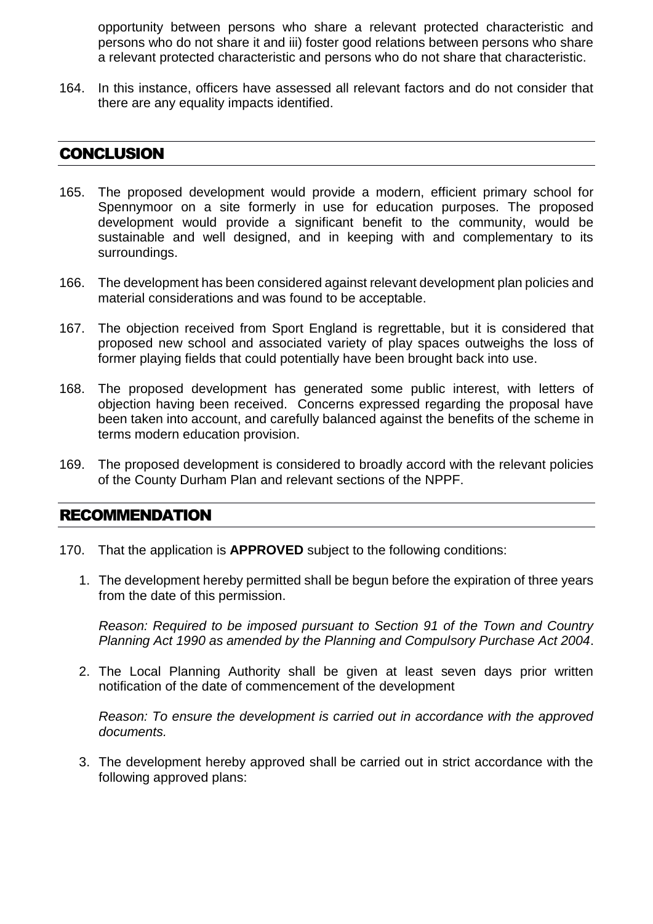opportunity between persons who share a relevant protected characteristic and persons who do not share it and iii) foster good relations between persons who share a relevant protected characteristic and persons who do not share that characteristic.

164. In this instance, officers have assessed all relevant factors and do not consider that there are any equality impacts identified.

## **CONCLUSION**

- 165. The proposed development would provide a modern, efficient primary school for Spennymoor on a site formerly in use for education purposes. The proposed development would provide a significant benefit to the community, would be sustainable and well designed, and in keeping with and complementary to its surroundings.
- 166. The development has been considered against relevant development plan policies and material considerations and was found to be acceptable.
- 167. The objection received from Sport England is regrettable, but it is considered that proposed new school and associated variety of play spaces outweighs the loss of former playing fields that could potentially have been brought back into use.
- 168. The proposed development has generated some public interest, with letters of objection having been received. Concerns expressed regarding the proposal have been taken into account, and carefully balanced against the benefits of the scheme in terms modern education provision.
- 169. The proposed development is considered to broadly accord with the relevant policies of the County Durham Plan and relevant sections of the NPPF.

## RECOMMENDATION

- 170. That the application is **APPROVED** subject to the following conditions:
	- 1. The development hereby permitted shall be begun before the expiration of three years from the date of this permission.

*Reason: Required to be imposed pursuant to Section 91 of the Town and Country Planning Act 1990 as amended by the Planning and Compulsory Purchase Act 2004*.

2. The Local Planning Authority shall be given at least seven days prior written notification of the date of commencement of the development

*Reason: To ensure the development is carried out in accordance with the approved documents.*

3. The development hereby approved shall be carried out in strict accordance with the following approved plans: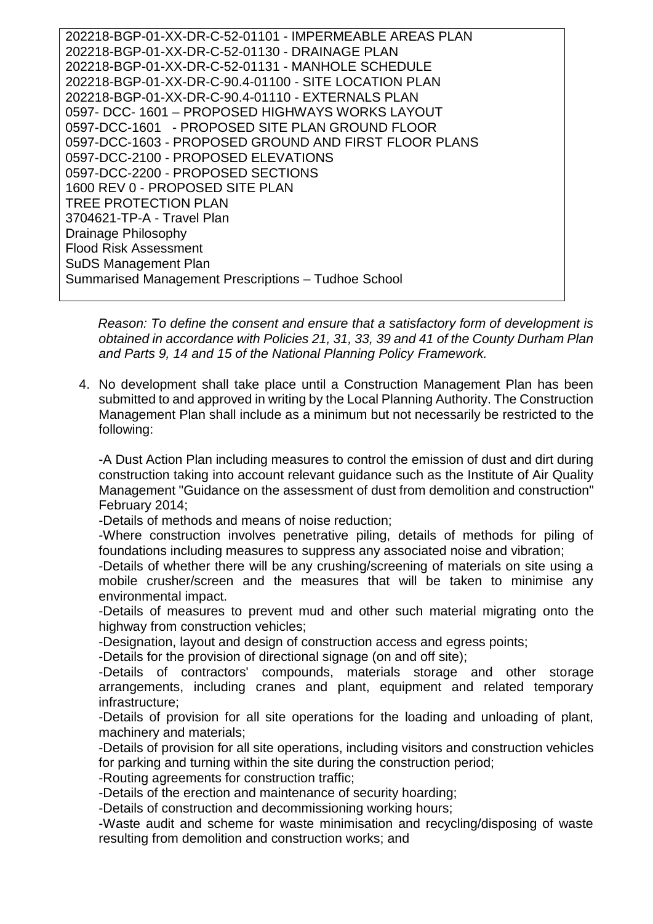202218-BGP-01-XX-DR-C-52-01101 - IMPERMEABLE AREAS PLAN 202218-BGP-01-XX-DR-C-52-01130 - DRAINAGE PLAN 202218-BGP-01-XX-DR-C-52-01131 - MANHOLE SCHEDULE 202218-BGP-01-XX-DR-C-90.4-01100 - SITE LOCATION PLAN 202218-BGP-01-XX-DR-C-90.4-01110 - EXTERNALS PLAN 0597- DCC- 1601 – PROPOSED HIGHWAYS WORKS LAYOUT 0597-DCC-1601 - PROPOSED SITE PLAN GROUND FLOOR 0597-DCC-1603 - PROPOSED GROUND AND FIRST FLOOR PLANS 0597-DCC-2100 - PROPOSED ELEVATIONS 0597-DCC-2200 - PROPOSED SECTIONS 1600 REV 0 - PROPOSED SITE PLAN TREE PROTECTION PLAN 3704621-TP-A - Travel Plan Drainage Philosophy Flood Risk Assessment SuDS Management Plan Summarised Management Prescriptions – Tudhoe School

*Reason: To define the consent and ensure that a satisfactory form of development is obtained in accordance with Policies 21, 31, 33, 39 and 41 of the County Durham Plan and Parts 9, 14 and 15 of the National Planning Policy Framework.*

4. No development shall take place until a Construction Management Plan has been submitted to and approved in writing by the Local Planning Authority. The Construction Management Plan shall include as a minimum but not necessarily be restricted to the following:

-A Dust Action Plan including measures to control the emission of dust and dirt during construction taking into account relevant guidance such as the Institute of Air Quality Management "Guidance on the assessment of dust from demolition and construction" February 2014;

-Details of methods and means of noise reduction;

-Where construction involves penetrative piling, details of methods for piling of foundations including measures to suppress any associated noise and vibration;

-Details of whether there will be any crushing/screening of materials on site using a mobile crusher/screen and the measures that will be taken to minimise any environmental impact.

-Details of measures to prevent mud and other such material migrating onto the highway from construction vehicles;

-Designation, layout and design of construction access and egress points;

-Details for the provision of directional signage (on and off site);

-Details of contractors' compounds, materials storage and other storage arrangements, including cranes and plant, equipment and related temporary infrastructure;

-Details of provision for all site operations for the loading and unloading of plant, machinery and materials;

-Details of provision for all site operations, including visitors and construction vehicles for parking and turning within the site during the construction period;

-Routing agreements for construction traffic;

-Details of the erection and maintenance of security hoarding;

-Details of construction and decommissioning working hours;

-Waste audit and scheme for waste minimisation and recycling/disposing of waste resulting from demolition and construction works; and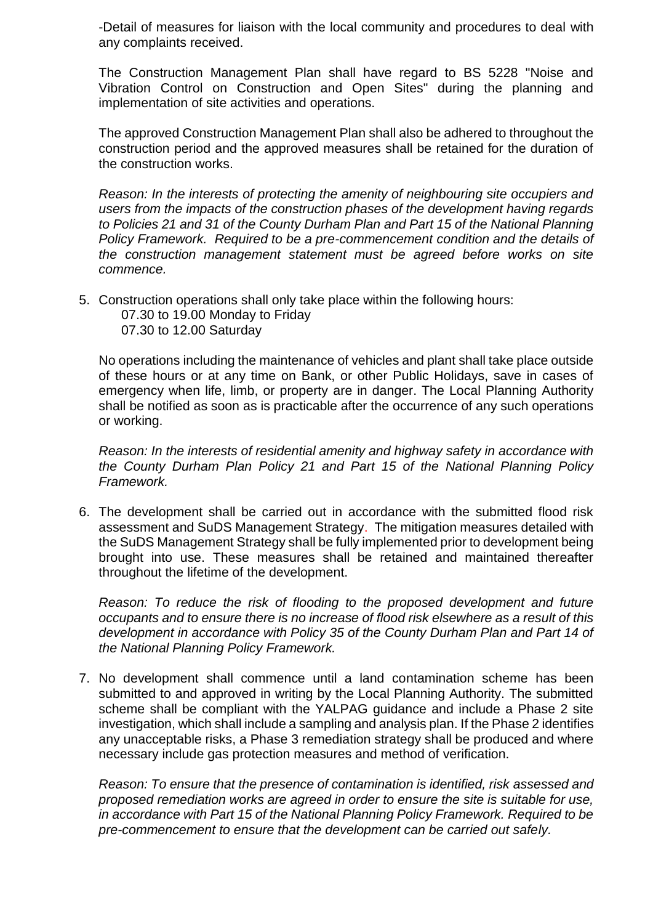-Detail of measures for liaison with the local community and procedures to deal with any complaints received.

The Construction Management Plan shall have regard to BS 5228 "Noise and Vibration Control on Construction and Open Sites" during the planning and implementation of site activities and operations.

The approved Construction Management Plan shall also be adhered to throughout the construction period and the approved measures shall be retained for the duration of the construction works.

*Reason: In the interests of protecting the amenity of neighbouring site occupiers and users from the impacts of the construction phases of the development having regards to Policies 21 and 31 of the County Durham Plan and Part 15 of the National Planning Policy Framework. Required to be a pre-commencement condition and the details of the construction management statement must be agreed before works on site commence.* 

- 5. Construction operations shall only take place within the following hours: 07.30 to 19.00 Monday to Friday
	- 07.30 to 12.00 Saturday

No operations including the maintenance of vehicles and plant shall take place outside of these hours or at any time on Bank, or other Public Holidays, save in cases of emergency when life, limb, or property are in danger. The Local Planning Authority shall be notified as soon as is practicable after the occurrence of any such operations or working.

*Reason: In the interests of residential amenity and highway safety in accordance with the County Durham Plan Policy 21 and Part 15 of the National Planning Policy Framework.*

6. The development shall be carried out in accordance with the submitted flood risk assessment and SuDS Management Strategy. The mitigation measures detailed with the SuDS Management Strategy shall be fully implemented prior to development being brought into use. These measures shall be retained and maintained thereafter throughout the lifetime of the development.

*Reason: To reduce the risk of flooding to the proposed development and future occupants and to ensure there is no increase of flood risk elsewhere as a result of this development in accordance with Policy 35 of the County Durham Plan and Part 14 of the National Planning Policy Framework.*

7. No development shall commence until a land contamination scheme has been submitted to and approved in writing by the Local Planning Authority. The submitted scheme shall be compliant with the YALPAG guidance and include a Phase 2 site investigation, which shall include a sampling and analysis plan. If the Phase 2 identifies any unacceptable risks, a Phase 3 remediation strategy shall be produced and where necessary include gas protection measures and method of verification.

*Reason: To ensure that the presence of contamination is identified, risk assessed and proposed remediation works are agreed in order to ensure the site is suitable for use, in accordance with Part 15 of the National Planning Policy Framework. Required to be pre-commencement to ensure that the development can be carried out safely.*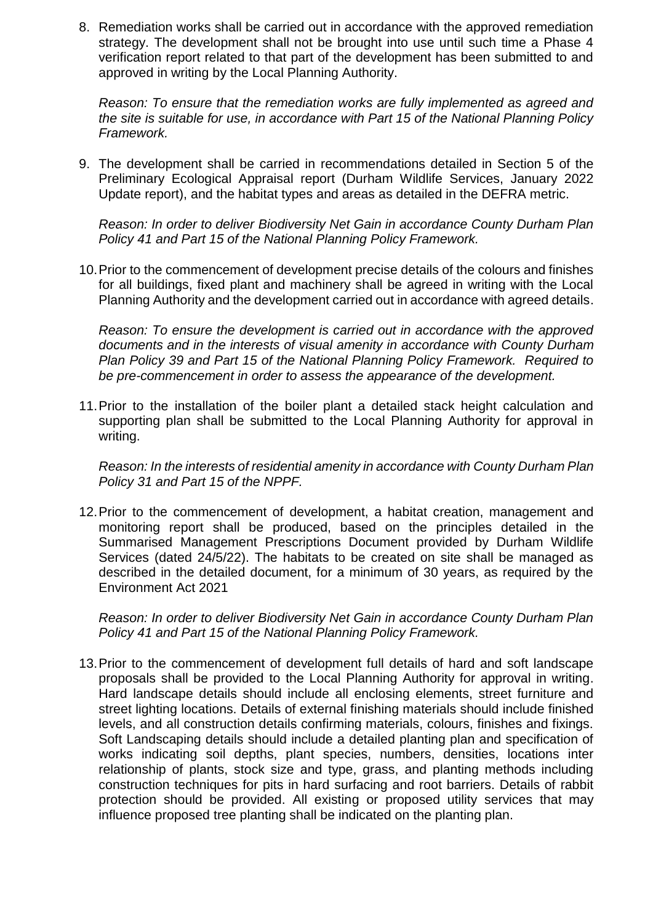8. Remediation works shall be carried out in accordance with the approved remediation strategy. The development shall not be brought into use until such time a Phase 4 verification report related to that part of the development has been submitted to and approved in writing by the Local Planning Authority.

*Reason: To ensure that the remediation works are fully implemented as agreed and the site is suitable for use, in accordance with Part 15 of the National Planning Policy Framework.*

9. The development shall be carried in recommendations detailed in Section 5 of the Preliminary Ecological Appraisal report (Durham Wildlife Services, January 2022 Update report), and the habitat types and areas as detailed in the DEFRA metric.

*Reason: In order to deliver Biodiversity Net Gain in accordance County Durham Plan Policy 41 and Part 15 of the National Planning Policy Framework.*

10.Prior to the commencement of development precise details of the colours and finishes for all buildings, fixed plant and machinery shall be agreed in writing with the Local Planning Authority and the development carried out in accordance with agreed details.

*Reason: To ensure the development is carried out in accordance with the approved documents and in the interests of visual amenity in accordance with County Durham Plan Policy 39 and Part 15 of the National Planning Policy Framework. Required to be pre-commencement in order to assess the appearance of the development.*

11.Prior to the installation of the boiler plant a detailed stack height calculation and supporting plan shall be submitted to the Local Planning Authority for approval in writing.

*Reason: In the interests of residential amenity in accordance with County Durham Plan Policy 31 and Part 15 of the NPPF.*

12.Prior to the commencement of development, a habitat creation, management and monitoring report shall be produced, based on the principles detailed in the Summarised Management Prescriptions Document provided by Durham Wildlife Services (dated 24/5/22). The habitats to be created on site shall be managed as described in the detailed document, for a minimum of 30 years, as required by the Environment Act 2021

*Reason: In order to deliver Biodiversity Net Gain in accordance County Durham Plan Policy 41 and Part 15 of the National Planning Policy Framework.*

13.Prior to the commencement of development full details of hard and soft landscape proposals shall be provided to the Local Planning Authority for approval in writing. Hard landscape details should include all enclosing elements, street furniture and street lighting locations. Details of external finishing materials should include finished levels, and all construction details confirming materials, colours, finishes and fixings. Soft Landscaping details should include a detailed planting plan and specification of works indicating soil depths, plant species, numbers, densities, locations inter relationship of plants, stock size and type, grass, and planting methods including construction techniques for pits in hard surfacing and root barriers. Details of rabbit protection should be provided. All existing or proposed utility services that may influence proposed tree planting shall be indicated on the planting plan.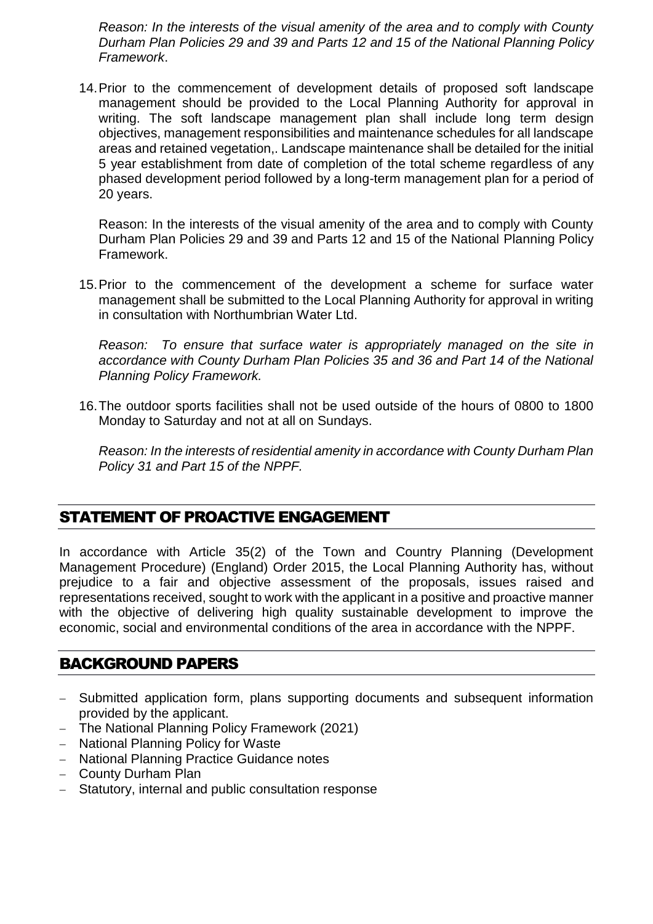*Reason: In the interests of the visual amenity of the area and to comply with County Durham Plan Policies 29 and 39 and Parts 12 and 15 of the National Planning Policy Framework*.

14.Prior to the commencement of development details of proposed soft landscape management should be provided to the Local Planning Authority for approval in writing. The soft landscape management plan shall include long term design objectives, management responsibilities and maintenance schedules for all landscape areas and retained vegetation,. Landscape maintenance shall be detailed for the initial 5 year establishment from date of completion of the total scheme regardless of any phased development period followed by a long-term management plan for a period of 20 years.

Reason: In the interests of the visual amenity of the area and to comply with County Durham Plan Policies 29 and 39 and Parts 12 and 15 of the National Planning Policy Framework.

15.Prior to the commencement of the development a scheme for surface water management shall be submitted to the Local Planning Authority for approval in writing in consultation with Northumbrian Water Ltd.

*Reason: To ensure that surface water is appropriately managed on the site in accordance with County Durham Plan Policies 35 and 36 and Part 14 of the National Planning Policy Framework.*

16.The outdoor sports facilities shall not be used outside of the hours of 0800 to 1800 Monday to Saturday and not at all on Sundays.

*Reason: In the interests of residential amenity in accordance with County Durham Plan Policy 31 and Part 15 of the NPPF.*

## STATEMENT OF PROACTIVE ENGAGEMENT

In accordance with Article 35(2) of the Town and Country Planning (Development Management Procedure) (England) Order 2015, the Local Planning Authority has, without prejudice to a fair and objective assessment of the proposals, issues raised and representations received, sought to work with the applicant in a positive and proactive manner with the objective of delivering high quality sustainable development to improve the economic, social and environmental conditions of the area in accordance with the NPPF.

## BACKGROUND PAPERS

- Submitted application form, plans supporting documents and subsequent information provided by the applicant.
- The National Planning Policy Framework (2021)
- National Planning Policy for Waste
- National Planning Practice Guidance notes
- County Durham Plan
- Statutory, internal and public consultation response